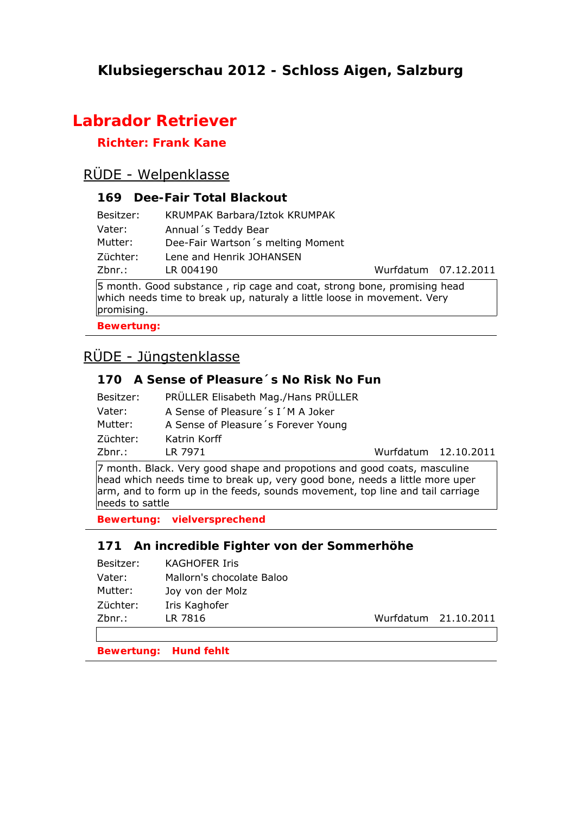# **Klubsiegerschau 2012 - Schloss Aigen, Salzburg**

# **Labrador Retriever**

## **Richter: Frank Kane**

# RÜDE - Welpenklasse

## **169 Dee-Fair Total Blackout**

| Besitzer:     | KRUMPAK Barbara/Iztok KRUMPAK               |                      |
|---------------|---------------------------------------------|----------------------|
| Vater:        | Annual's Teddy Bear                         |                      |
| Mutter:       | Dee-Fair Wartson's melting Moment           |                      |
| Züchter:      | Lene and Henrik JOHANSEN                    |                      |
| Zbnr.:        | LR 004190                                   | Wurfdatum 07.12.2011 |
| $\sim$ $\sim$ | $\mathbf{r}$ . The contract of $\mathbf{r}$ |                      |

5 month. Good substance , rip cage and coat, strong bone, promising head which needs time to break up, naturaly a little loose in movement. Very promising.

**Bewertung:** 

# RÜDE - Jüngstenklasse

## **170 A Sense of Pleasure´s No Risk No Fun**

| Besitzer: | PRÜLLER Elisabeth Mag./Hans PRÜLLER |
|-----------|-------------------------------------|
| Vater:    | A Sense of Pleasure 's I'M A Joker  |
| Mutter:   | A Sense of Pleasure's Forever Young |
| Züchter:  | Katrin Korff                        |
| Zbnr.:    | LR 7971                             |

Wurfdatum 12.10.2011

7 month. Black. Very good shape and propotions and good coats, masculine head which needs time to break up, very good bone, needs a little more uper arm, and to form up in the feeds, sounds movement, top line and tail carriage needs to sattle

**Bewertung: vielversprechend**

#### **171 An incredible Fighter von der Sommerhöhe**

| Besitzer: | <b>KAGHOFER Iris</b>      |
|-----------|---------------------------|
| Vater:    | Mallorn's chocolate Baloo |
| Mutter:   | Joy von der Molz          |
| Züchter:  | Iris Kaghofer             |
| $Zbnr.$ : | LR 7816                   |
|           |                           |

Wurfdatum 21.10.2011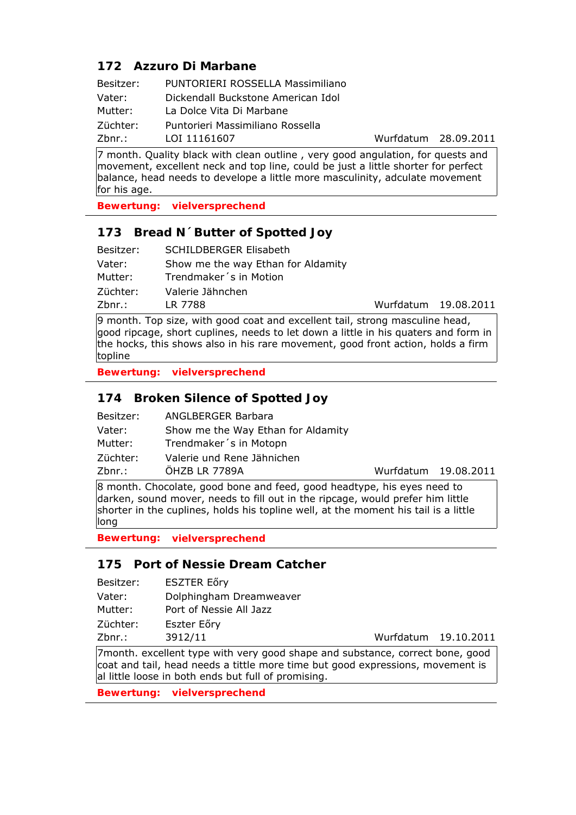## **172 Azzuro Di Marbane**

| Besitzer: | PUNTORIERI ROSSELLA Massimiliano   |
|-----------|------------------------------------|
| Vater:    | Dickendall Buckstone American Idol |
| Mutter:   | La Dolce Vita Di Marbane           |
| Züchter:  | Puntorieri Massimiliano Rossella   |
| $Zbnr.$ : | LOI 11161607                       |

7 month. Quality black with clean outline , very good angulation, for quests and movement, excellent neck and top line, could be just a little shorter for perfect balance, head needs to develope a little more masculinity, adculate movement for his age.

**Bewertung: vielversprechend**

### **173 Bread N´Butter of Spotted Joy**

| Besitzer: | <b>SCHILDBERGER Elisabeth</b>      |                      |  |
|-----------|------------------------------------|----------------------|--|
| Vater:    | Show me the way Ethan for Aldamity |                      |  |
| Mutter:   | Trendmaker's in Motion             |                      |  |
| Züchter:  | Valerie Jähnchen                   |                      |  |
| Zbnr.:    | LR 7788                            | Wurfdatum 19.08.2011 |  |

9 month. Top size, with good coat and excellent tail, strong masculine head, good ripcage, short cuplines, needs to let down a little in his quaters and form in the hocks, this shows also in his rare movement, good front action, holds a firm topline

**Bewertung: vielversprechend**

## **174 Broken Silence of Spotted Joy**

| Besitzer: | <b>ANGLBERGER Barbara</b>          |
|-----------|------------------------------------|
| Vater:    | Show me the Way Ethan for Aldamity |
| Mutter:   | Trendmaker's in Motopn             |
| Züchter:  | Valerie und Rene Jähnichen         |
| Zbnr.:    | ÖHZB LR 7789A                      |

Wurfdatum 19.08.2011

Wurfdatum 28.09.2011

8 month. Chocolate, good bone and feed, good headtype, his eyes need to darken, sound mover, needs to fill out in the ripcage, would prefer him little shorter in the cuplines, holds his topline well, at the moment his tail is a little long

**Bewertung: vielversprechend**

#### **175 Port of Nessie Dream Catcher**

| Besitzer: | <b>ESZTER Eőry</b>      |
|-----------|-------------------------|
| Vater:    | Dolphingham Dreamweaver |
| Mutter:   | Port of Nessie All Jazz |

Züchter: Eszter Eőry

Zbnr.: 3912/11 Wurfdatum 19.10.2011

7month. excellent type with very good shape and substance, correct bone, good coat and tail, head needs a tittle more time but good expressions, movement is al little loose in both ends but full of promising.

**Bewertung: vielversprechend**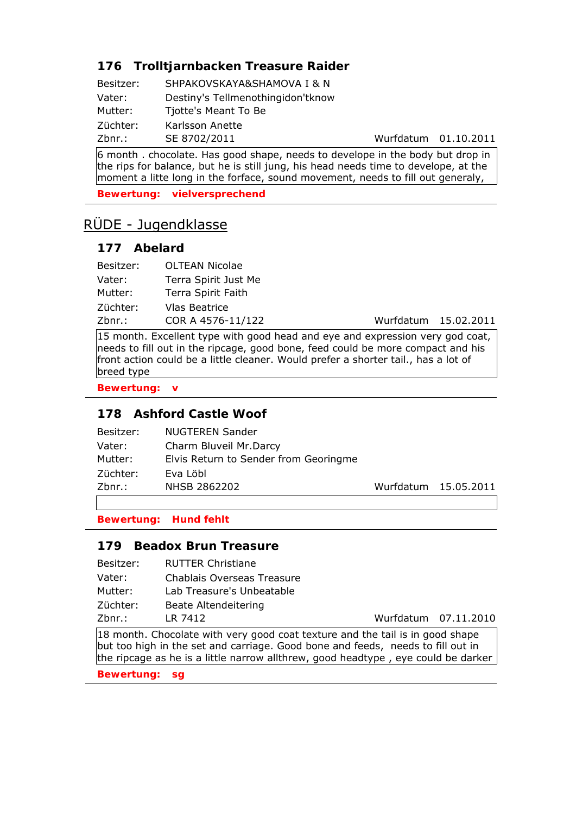# **176 Trolltjarnbacken Treasure Raider**

| Besitzer: | SHPAKOVSKAYA&SHAMOVA I & N        |
|-----------|-----------------------------------|
| Vater:    | Destiny's Tellmenothingidon'tknow |
| Mutter:   | Tjotte's Meant To Be              |
| Züchter:  | Karlsson Anette                   |
| Zbnr.:    | SE 8702/2011                      |

Wurfdatum 01.10.2011

6 month . chocolate. Has good shape, needs to develope in the body but drop in the rips for balance, but he is still jung, his head needs time to develope, at the moment a litte long in the forface, sound movement, needs to fill out generaly,

**Bewertung: vielversprechend**

# RÜDE - Jugendklasse

## **177 Abelard**

| Besitzer: | OLTEAN Nicolae       |                      |  |
|-----------|----------------------|----------------------|--|
| Vater:    | Terra Spirit Just Me |                      |  |
| Mutter:   | Terra Spirit Faith   |                      |  |
| Züchter:  | Vlas Beatrice        |                      |  |
| Zbnr.:    | COR A 4576-11/122    | Wurfdatum 15.02.2011 |  |

15 month. Excellent type with good head and eye and expression very god coat, needs to fill out in the ripcage, good bone, feed could be more compact and his front action could be a little cleaner. Would prefer a shorter tail., has a lot of breed type

**Bewertung: v**

### **178 Ashford Castle Woof**

| $Zbnr.$ : | NHSB 2862202                          | Wurfdatum 15.05.2011 |
|-----------|---------------------------------------|----------------------|
| Züchter:  | Eva Löbl                              |                      |
| Mutter:   | Elvis Return to Sender from Georingme |                      |
| Vater:    | Charm Bluveil Mr.Darcy                |                      |
| Besitzer: | <b>NUGTEREN Sander</b>                |                      |

## **Bewertung: Hund fehlt**

### **179 Beadox Brun Treasure**

| Besitzer: | <b>RUTTER Christiane</b>   |                      |
|-----------|----------------------------|----------------------|
| Vater:    | Chablais Overseas Treasure |                      |
| Mutter:   | Lab Treasure's Unbeatable  |                      |
| Züchter:  | Beate Altendeitering       |                      |
| Zbnr.:    | LR 7412                    | Wurfdatum 07.11.2010 |

18 month. Chocolate with very good coat texture and the tail is in good shape but too high in the set and carriage. Good bone and feeds, needs to fill out in the ripcage as he is a little narrow allthrew, good headtype , eye could be darker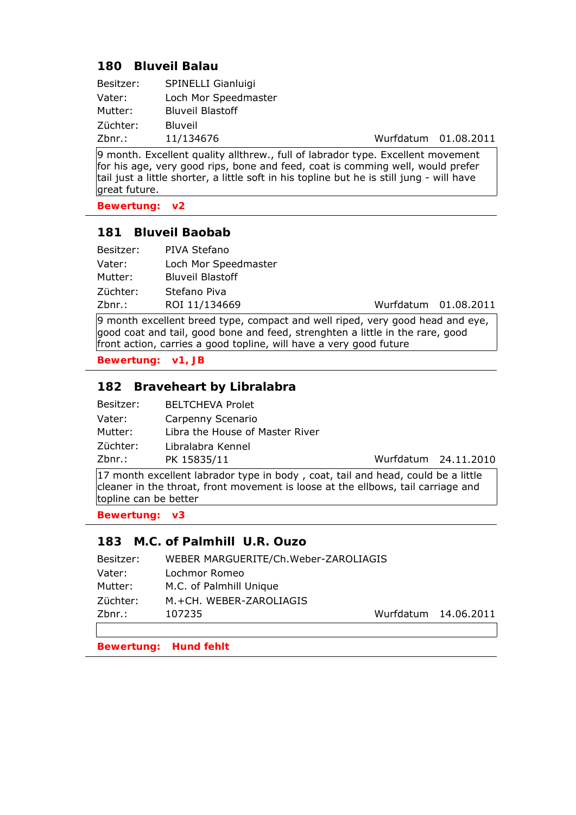#### **180 Bluveil Balau**

| SPINELLI Gianluigi      |
|-------------------------|
| Loch Mor Speedmaster    |
| <b>Bluveil Blastoff</b> |
| <b>Bluveil</b>          |
| 11/134676               |
|                         |

Wurfdatum 01.08.2011

9 month. Excellent quality allthrew., full of labrador type. Excellent movement for his age, very good rips, bone and feed, coat is comming well, would prefer tail just a little shorter, a little soft in his topline but he is still jung - will have great future.

**Bewertung: v2**

### **181 Bluveil Baobab**

| Besitzer: | PIVA Stefano            |                      |  |
|-----------|-------------------------|----------------------|--|
| Vater:    | Loch Mor Speedmaster    |                      |  |
| Mutter:   | <b>Bluveil Blastoff</b> |                      |  |
| Züchter:  | Stefano Piva            |                      |  |
| Zbnr.:    | ROI 11/134669           | Wurfdatum 01.08.2011 |  |

9 month excellent breed type, compact and well riped, very good head and eye, good coat and tail, good bone and feed, strenghten a little in the rare, good front action, carries a good topline, will have a very good future

**Bewertung: v1, JB**

### **182 Braveheart by Libralabra**

| Besitzer: | <b>BELTCHEVA Prolet</b>         |                      |
|-----------|---------------------------------|----------------------|
| Vater:    | Carpenny Scenario               |                      |
| Mutter:   | Libra the House of Master River |                      |
| Züchter:  | Libralabra Kennel               |                      |
| Zbnr.:    | PK 15835/11                     | Wurfdatum 24.11.2010 |

17 month excellent labrador type in body , coat, tail and head, could be a little cleaner in the throat, front movement is loose at the ellbows, tail carriage and topline can be better

**Bewertung: v3**

#### **183 M.C. of Palmhill U.R. Ouzo**

| Besitzer: | WEBER MARGUERITE/Ch.Weber-ZAROLIAGIS |                      |
|-----------|--------------------------------------|----------------------|
| Vater:    | Lochmor Romeo                        |                      |
| Mutter:   | M.C. of Palmhill Unique              |                      |
| Züchter:  | M.+CH. WEBER-ZAROLIAGIS              |                      |
| Zbnr.:    | 107235                               | Wurfdatum 14.06.2011 |
|           |                                      |                      |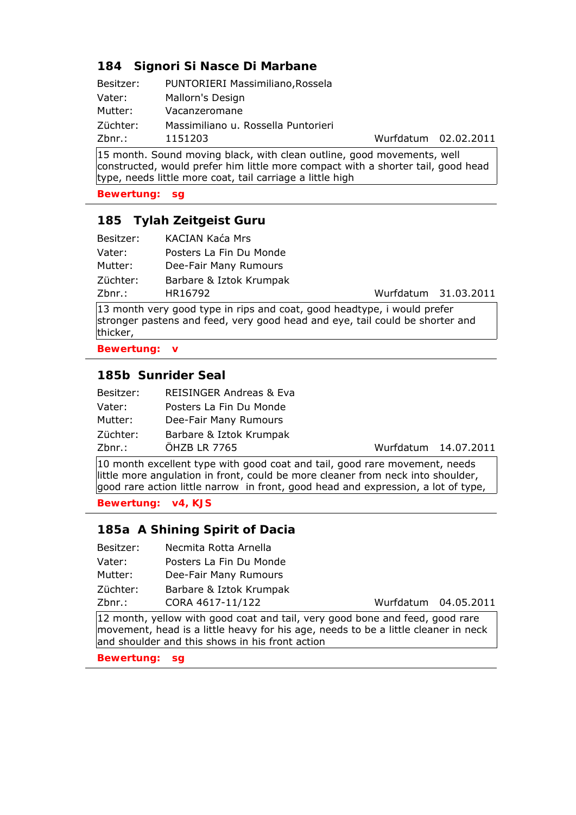## **184 Signori Si Nasce Di Marbane**

| Besitzer: | PUNTORIERI Massimiliano, Rossela    |
|-----------|-------------------------------------|
| Vater:    | Mallorn's Design                    |
| Mutter:   | Vacanzeromane                       |
| Züchter:  | Massimiliano u. Rossella Puntorieri |
| Zbnr.:    | 1151203                             |

Wurfdatum 02.02.2011

15 month. Sound moving black, with clean outline, good movements, well constructed, would prefer him little more compact with a shorter tail, good head type, needs little more coat, tail carriage a little high

**Bewertung: sg**

### **185 Tylah Zeitgeist Guru**

| Zbnr.:    | HR16792                 | Wurfdatum 31.03.2011 |
|-----------|-------------------------|----------------------|
| Züchter:  | Barbare & Iztok Krumpak |                      |
| Mutter:   | Dee-Fair Many Rumours   |                      |
| Vater:    | Posters La Fin Du Monde |                      |
| Besitzer: | KACIAN Kaća Mrs         |                      |

13 month very good type in rips and coat, good headtype, i would prefer stronger pastens and feed, very good head and eye, tail could be shorter and thicker,

**Bewertung: v**

#### **185b Sunrider Seal**

| Besitzer: | <b>REISINGER Andreas &amp; Eva</b> |
|-----------|------------------------------------|
| Vater:    | Posters La Fin Du Monde            |
| Mutter:   | Dee-Fair Many Rumours              |
| Züchter:  | Barbare & Iztok Krumpak            |
| Zbnr.:    | ÖHZB LR 7765                       |

Wurfdatum 14.07.2011

10 month excellent type with good coat and tail, good rare movement, needs little more angulation in front, could be more cleaner from neck into shoulder, good rare action little narrow in front, good head and expression, a lot of type,

**Bewertung: v4, KJS**

### **185a A Shining Spirit of Dacia**

- Besitzer: Necmita Rotta Arnella
- Vater: Posters La Fin Du Monde Mutter: Dee-Fair Many Rumours Züchter: Barbare & Iztok Krumpak
- Zbnr.: CORA 4617-11/122 Wurfdatum 04.05.2011

12 month, yellow with good coat and tail, very good bone and feed, good rare movement, head is a little heavy for his age, needs to be a little cleaner in neck and shoulder and this shows in his front action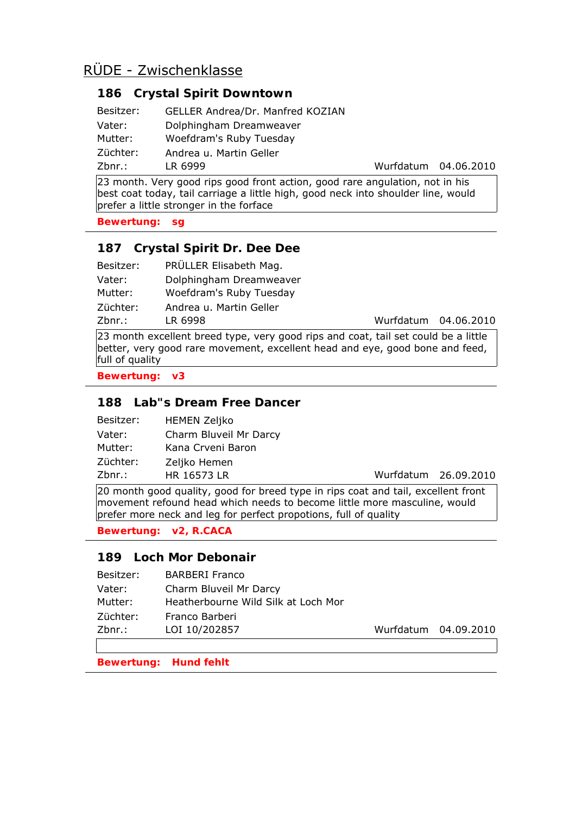## **186 Crystal Spirit Downtown**

| Zbnr.:    | LR 6999                          | Wurfdatum 04.06.2010 |
|-----------|----------------------------------|----------------------|
| Züchter:  | Andrea u. Martin Geller          |                      |
| Mutter:   | Woefdram's Ruby Tuesday          |                      |
| Vater:    | Dolphingham Dreamweaver          |                      |
| Besitzer: | GELLER Andrea/Dr. Manfred KOZIAN |                      |

23 month. Very good rips good front action, good rare angulation, not in his best coat today, tail carriage a little high, good neck into shoulder line, would prefer a little stronger in the forface

**Bewertung: sg**

## **187 Crystal Spirit Dr. Dee Dee**

| Besitzer: | PRÜLLER Elisabeth Mag.  |
|-----------|-------------------------|
| Vater:    | Dolphingham Dreamweaver |
| Mutter:   | Woefdram's Ruby Tuesday |
| Züchter:  | Andrea u. Martin Geller |
| Zbnr.:    | LR 6998                 |

Wurfdatum 04.06.2010

23 month excellent breed type, very good rips and coat, tail set could be a little better, very good rare movement, excellent head and eye, good bone and feed, full of quality

**Bewertung: v3**

## **188 Lab"s Dream Free Dancer**

| Besitzer: | <b>HEMEN Zeljko</b>    |
|-----------|------------------------|
| Vater:    | Charm Bluveil Mr Darcy |
| Mutter:   | Kana Crveni Baron      |
| Züchter:  | Zeljko Hemen           |
| Zbnr.:    | HR 16573 LR            |

Wurfdatum 26.09.2010

20 month good quality, good for breed type in rips coat and tail, excellent front movement refound head which needs to become little more masculine, would prefer more neck and leg for perfect propotions, full of quality

**Bewertung: v2, R.CACA**

### **189 Loch Mor Debonair**

| Zbnr.:    | LOI 10/202857                       | Wurfdatum 04.09.2010 |
|-----------|-------------------------------------|----------------------|
| Züchter:  | Franco Barberi                      |                      |
| Mutter:   | Heatherbourne Wild Silk at Loch Mor |                      |
| Vater:    | Charm Bluveil Mr Darcy              |                      |
| Besitzer: | <b>BARBERI Franco</b>               |                      |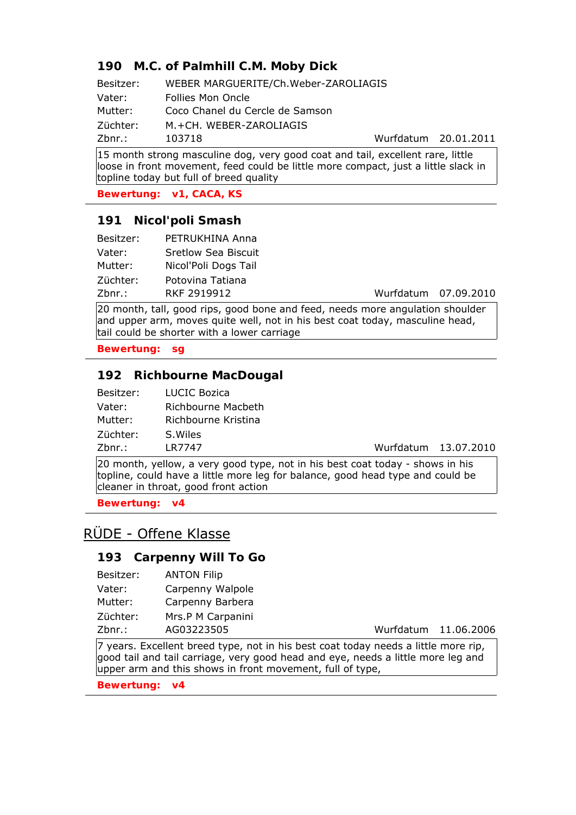## **190 M.C. of Palmhill C.M. Moby Dick**

Besitzer: WEBER MARGUERITE/Ch.Weber-ZAROLIAGIS Vater: Follies Mon Oncle Mutter: Coco Chanel du Cercle de Samson Züchter: M.+CH. WEBER-ZAROLIAGIS

Zbnr.: 103718 Wurfdatum 20.01.2011

15 month strong masculine dog, very good coat and tail, excellent rare, little loose in front movement, feed could be little more compact, just a little slack in topline today but full of breed quality

**Bewertung: v1, CACA, KS**

#### **191 Nicol'poli Smash**

| Besitzer: | PETRUKHINA Anna      |
|-----------|----------------------|
| Vater:    | Sretlow Sea Biscuit  |
| Mutter:   | Nicol'Poli Dogs Tail |
| Züchter:  | Potovina Tatiana     |
| Zbnr.:    | RKF 2919912          |

Wurfdatum 07.09.2010

20 month, tall, good rips, good bone and feed, needs more angulation shoulder and upper arm, moves quite well, not in his best coat today, masculine head, tail could be shorter with a lower carriage

**Bewertung: sg**

#### **192 Richbourne MacDougal**

| Besitzer: | LUCIC Bozica              |
|-----------|---------------------------|
| Vater:    | <b>Richbourne Macbeth</b> |
| Mutter:   | Richbourne Kristina       |
| Züchter:  | S. Wiles                  |
| 7hnr •    | I R7747                   |

Zbnr.: LR7747 Wurfdatum 13.07.2010

20 month, yellow, a very good type, not in his best coat today - shows in his topline, could have a little more leg for balance, good head type and could be cleaner in throat, good front action

**Bewertung: v4**

# RÜDE - Offene Klasse

#### **193 Carpenny Will To Go**

| Vater:   | Carpenny Walpole  |
|----------|-------------------|
| Mutter:  | Carpenny Barbera  |
| Züchter: | Mrs.P M Carpanini |

Zbnr.: AG03223505 Wurfdatum 11.06.2006

7 years. Excellent breed type, not in his best coat today needs a little more rip, good tail and tail carriage, very good head and eye, needs a little more leg and upper arm and this shows in front movement, full of type,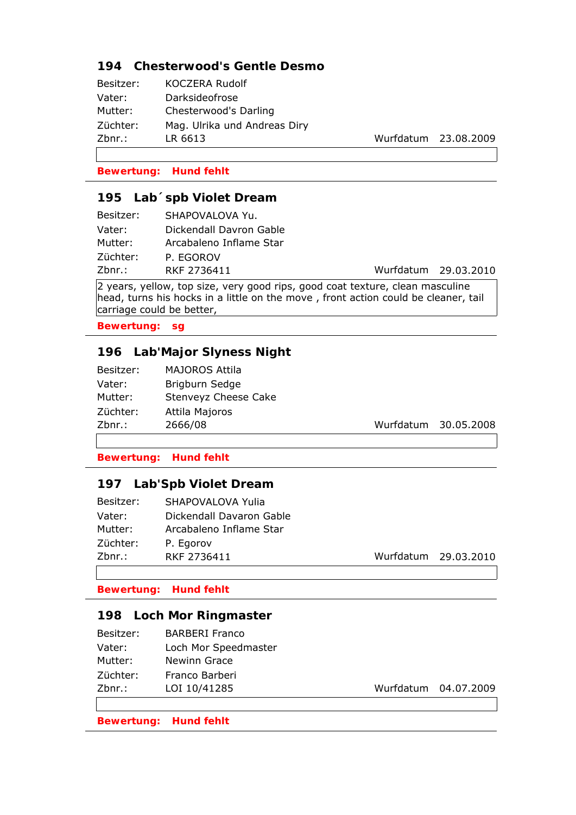## **194 Chesterwood's Gentle Desmo**

| Besitzer: | <b>KOCZERA Rudolf</b>        |
|-----------|------------------------------|
| Vater:    | Darksideofrose               |
| Mutter:   | Chesterwood's Darling        |
| Züchter:  | Mag. Ulrika und Andreas Diry |
| Zbnr.:    | LR 6613                      |
|           |                              |

Wurfdatum 23.08.2009

Wurfdatum 29.03.2010

**Bewertung: Hund fehlt**

### **195 Lab´spb Violet Dream**

| Besitzer: | SHAPOVALOVA Yu.         |
|-----------|-------------------------|
| Vater:    | Dickendall Davron Gable |
| Mutter:   | Arcabaleno Inflame Star |
| Züchter:  | P. EGOROV               |
| Zbnr.:    | RKF 2736411             |

2 years, yellow, top size, very good rips, good coat texture, clean masculine head, turns his hocks in a little on the move , front action could be cleaner, tail carriage could be better,

**Bewertung: sg**

## **196 Lab'Major Slyness Night**

| Besitzer: | <b>MAJOROS Attila</b> |
|-----------|-----------------------|
| Vater:    | Brigburn Sedge        |
| Mutter:   | Stenveyz Cheese Cake  |
| Züchter:  | Attila Majoros        |
| Zbnr.:    | 2666/08               |

Wurfdatum 30.05.2008

**Bewertung: Hund fehlt**

### **197 Lab'Spb Violet Dream**

| Besitzer: | SHAPOVALOVA Yulia        |
|-----------|--------------------------|
| Vater:    | Dickendall Davaron Gable |
| Mutter:   | Arcabaleno Inflame Star  |
| Züchter:  | P. Egorov                |
| Zbnr.:    | RKF 2736411              |
|           |                          |

Wurfdatum 29.03.2010

**Bewertung: Hund fehlt**

#### **198 Loch Mor Ringmaster**

| Besitzer: | <b>BARBERI Franco</b> |
|-----------|-----------------------|
| Vater:    | Loch Mor Speedmaster  |
| Mutter:   | <b>Newinn Grace</b>   |
| Züchter:  | Franco Barberi        |
| $Zbnr.$ : | LOI 10/41285          |
|           |                       |

Wurfdatum 04.07.2009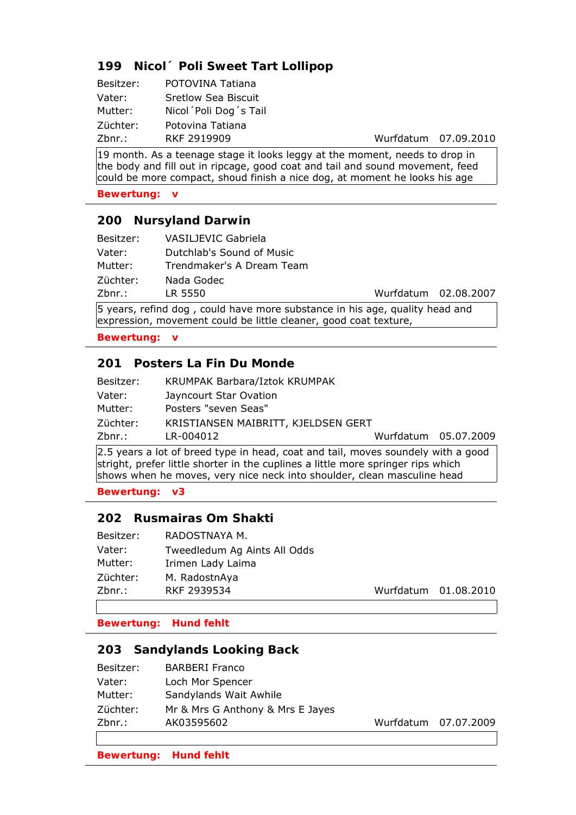## **199 Nicol´ Poli Sweet Tart Lollipop**

| Besitzer: | POTOVINA Tatiana       |
|-----------|------------------------|
| Vater:    | Sretlow Sea Biscuit    |
| Mutter:   | Nicol Poli Dog 's Tail |
| Züchter:  | Potovina Tatiana       |
| Zbnr.:    | RKF 2919909            |

Wurfdatum 07.09.2010

19 month. As a teenage stage it looks leggy at the moment, needs to drop in the body and fill out in ripcage, good coat and tail and sound movement, feed could be more compact, shoud finish a nice dog, at moment he looks his age

**Bewertung: v**

#### **200 Nursyland Darwin**

| Besitzer: | VASILJEVIC Gabriela       |                      |  |
|-----------|---------------------------|----------------------|--|
| Vater:    | Dutchlab's Sound of Music |                      |  |
| Mutter:   | Trendmaker's A Dream Team |                      |  |
| Züchter:  | Nada Godec                |                      |  |
| Zbnr.:    | LR 5550                   | Wurfdatum 02.08.2007 |  |
|           |                           |                      |  |

5 years, refind dog , could have more substance in his age, quality head and expression, movement could be little cleaner, good coat texture,

**Bewertung: v**

### **201 Posters La Fin Du Monde**

| KRUMPAK Barbara/Iztok KRUMPAK |                                                             |
|-------------------------------|-------------------------------------------------------------|
| Jayncourt Star Ovation        |                                                             |
| Posters "seven Seas"          |                                                             |
|                               |                                                             |
| LR-004012                     |                                                             |
|                               | KRISTIANSEN MAIBRITT, KJELDSEN GERT<br>Wurfdatum 05.07.2009 |

2.5 years a lot of breed type in head, coat and tail, moves soundely with a good stright, prefer little shorter in the cuplines a little more springer rips which shows when he moves, very nice neck into shoulder, clean masculine head

**Bewertung: v3**

### **202 Rusmairas Om Shakti**

| Besitzer: | RADOSTNAYA M.                |                      |  |
|-----------|------------------------------|----------------------|--|
| Vater:    | Tweedledum Ag Aints All Odds |                      |  |
| Mutter:   | Irimen Lady Laima            |                      |  |
| Züchter:  | M. RadostnAya                |                      |  |
| Zbnr.:    | RKF 2939534                  | Wurfdatum 01.08.2010 |  |
|           |                              |                      |  |

**Bewertung: Hund fehlt**

#### **203 Sandylands Looking Back**

| Besitzer: | <b>BARBERI Franco</b>            |                      |
|-----------|----------------------------------|----------------------|
| Vater:    | Loch Mor Spencer                 |                      |
| Mutter:   | Sandylands Wait Awhile           |                      |
| Züchter:  | Mr & Mrs G Anthony & Mrs E Jayes |                      |
| $Zbnr.$ : | AK03595602                       | Wurfdatum 07.07.2009 |
|           |                                  |                      |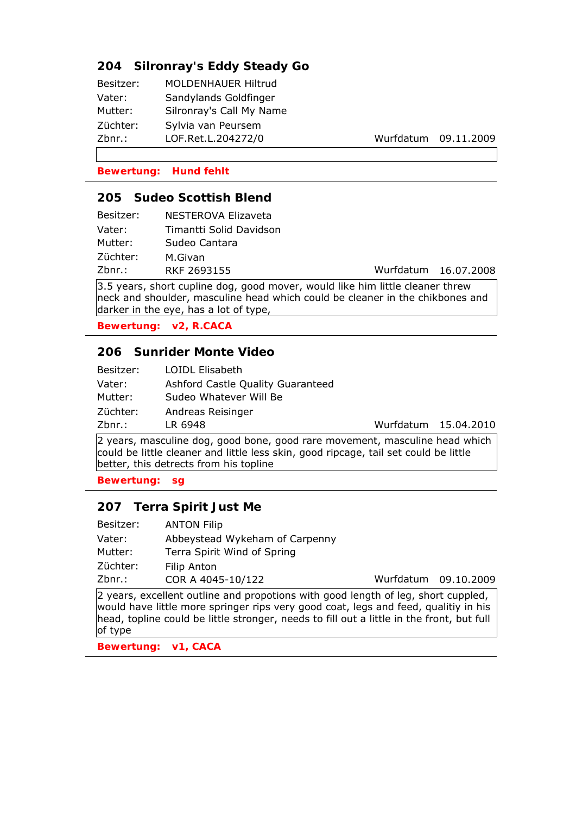## **204 Silronray's Eddy Steady Go**

| Besitzer: | <b>MOLDENHAUER Hiltrud</b> |
|-----------|----------------------------|
| Vater:    | Sandylands Goldfinger      |
| Mutter:   | Silronray's Call My Name   |
| Züchter:  | Sylvia van Peursem         |
| Zbnr.:    | LOF.Ret.L.204272/0         |
|           |                            |

Wurfdatum 09.11.2009

**Bewertung: Hund fehlt**

#### **205 Sudeo Scottish Blend**

| NESTEROVA Elizaveta     |
|-------------------------|
| Timantti Solid Davidson |
| Sudeo Cantara           |
| M.Givan                 |
| RKF 2693155             |
|                         |

Wurfdatum 16.07.2008

3.5 years, short cupline dog, good mover, would like him little cleaner threw neck and shoulder, masculine head which could be cleaner in the chikbones and darker in the eye, has a lot of type,

**Bewertung: v2, R.CACA**

#### **206 Sunrider Monte Video**

| Besitzer: | LOIDL Elisabeth                   |
|-----------|-----------------------------------|
| Vater:    | Ashford Castle Quality Guaranteed |
| Mutter:   | Sudeo Whatever Will Be            |
| Züchter:  | Andreas Reisinger                 |
| Zbnr.:    | LR 6948                           |

Wurfdatum 15.04.2010

2 years, masculine dog, good bone, good rare movement, masculine head which could be little cleaner and little less skin, good ripcage, tail set could be little better, this detrects from his topline

**Bewertung: sg**

#### **207 Terra Spirit Just Me**

| Besitzer: | <b>ANTON Filip</b>             |                      |  |
|-----------|--------------------------------|----------------------|--|
| Vater:    | Abbeystead Wykeham of Carpenny |                      |  |
| Mutter:   | Terra Spirit Wind of Spring    |                      |  |
| Züchter:  | <b>Filip Anton</b>             |                      |  |
| Zbnr.:    | COR A 4045-10/122              | Wurfdatum 09.10.2009 |  |
|           |                                |                      |  |

2 years, excellent outline and propotions with good length of leg, short cuppled, would have little more springer rips very good coat, legs and feed, qualitiy in his head, topline could be little stronger, needs to fill out a little in the front, but full of type

**Bewertung: v1, CACA**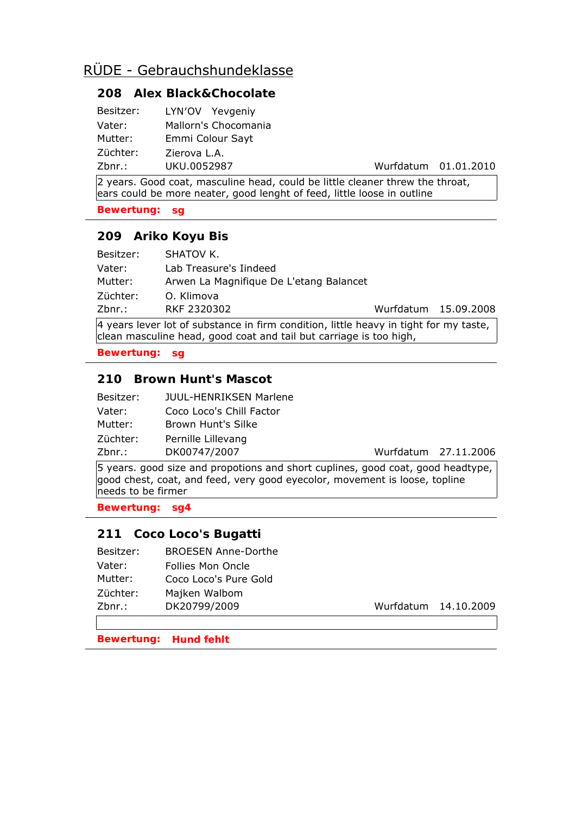# RÜDE - Gebrauchshundeklasse

### **208 Alex Black&Chocolate**

| Besitzer: | LYN'OV Yevgeniy  |                      |
|-----------|------------------|----------------------|
| Vater:    |                  | Mallorn's Chocomania |
| Mutter:   | Emmi Colour Sayt |                      |
| Züchter:  | Zierova L.A.     |                      |
| Zbnr.:    | UKU.0052987      |                      |

Wurfdatum 01.01.2010

2 years. Good coat, masculine head, could be little cleaner threw the throat, ears could be more neater, good lenght of feed, little loose in outline

**Bewertung: sg**

### **209 Ariko Koyu Bis**

| Besitzer: | SHATOV K.                               |                      |  |
|-----------|-----------------------------------------|----------------------|--|
| Vater:    | Lab Treasure's Iindeed                  |                      |  |
| Mutter:   | Arwen La Magnifique De L'etang Balancet |                      |  |
| Züchter:  | O. Klimova                              |                      |  |
| Zbnr.:    | RKF 2320302                             | Wurfdatum 15.09.2008 |  |

4 years lever lot of substance in firm condition, little heavy in tight for my taste, clean masculine head, good coat and tail but carriage is too high,

**Bewertung: sg**

### **210 Brown Hunt's Mascot**

| Besitzer: | <b>JUUL-HENRIKSEN Marlene</b> |
|-----------|-------------------------------|
| Vater:    | Coco Loco's Chill Factor      |
| Mutter:   | Brown Hunt's Silke            |
| Züchter:  | Pernille Lillevang            |
| Zbnr.:    | DK00747/2007                  |

Wurfdatum 27.11.2006

5 years. good size and propotions and short cuplines, good coat, good headtype, good chest, coat, and feed, very good eyecolor, movement is loose, topline needs to be firmer

**Bewertung: sg4**

## **211 Coco Loco's Bugatti**

| Besitzer: | <b>BROESEN Anne-Dorthe</b> |                      |
|-----------|----------------------------|----------------------|
| Vater:    | Follies Mon Oncle          |                      |
| Mutter:   | Coco Loco's Pure Gold      |                      |
| Züchter:  | Majken Walbom              |                      |
| Zbnr.:    | DK20799/2009               | Wurfdatum 14.10.2009 |
|           |                            |                      |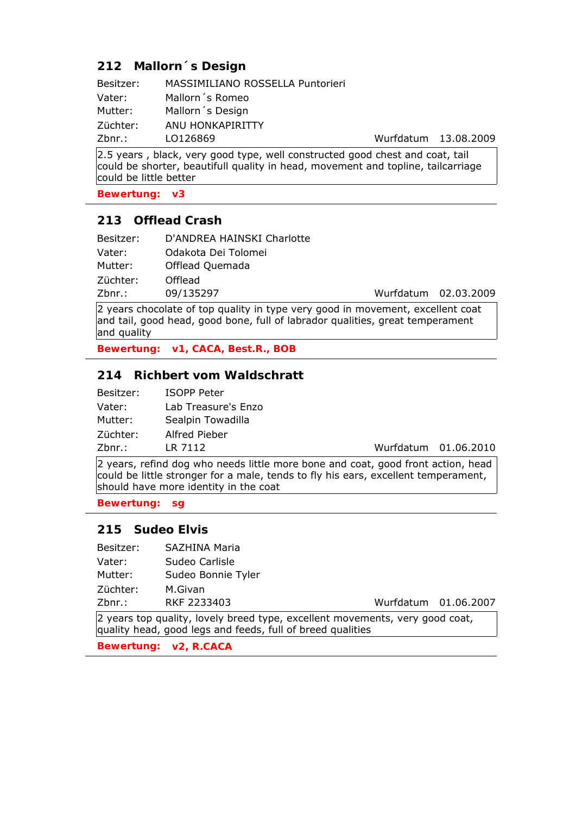## **212 Mallorn´s Design**

| Besitzer: | MASSIMILIANO ROSSELLA Puntorieri |                      |  |
|-----------|----------------------------------|----------------------|--|
| Vater:    | Mallorn's Romeo                  |                      |  |
| Mutter:   | Mallorn's Design                 |                      |  |
| Züchter:  | ANU HONKAPIRITTY                 |                      |  |
| Zbnr.:    | LO126869                         | Wurfdatum 13.08.2009 |  |
|           |                                  |                      |  |

2.5 years , black, very good type, well constructed good chest and coat, tail could be shorter, beautifull quality in head, movement and topline, tailcarriage could be little better

**Bewertung: v3**

### **213 Offlead Crash**

| D'ANDREA HAINSKI Charlotte<br>Besitzer:     |  |
|---------------------------------------------|--|
| Odakota Dei Tolomei<br>Vater:               |  |
| Offlead Quemada<br>Mutter:                  |  |
| Züchter:<br>Offlead                         |  |
| Wurfdatum 02.03.2009<br>09/135297<br>Zbnr.: |  |

2 years chocolate of top quality in type very good in movement, excellent coat and tail, good head, good bone, full of labrador qualities, great temperament and quality

**Bewertung: v1, CACA, Best.R., BOB**

## **214 Richbert vom Waldschratt**

| Besitzer: | <b>ISOPP Peter</b>  |
|-----------|---------------------|
| Vater:    | Lab Treasure's Enzo |
| Mutter:   | Sealpin Towadilla   |
| Züchter:  | Alfred Pieber       |
| Zbnr.:    | LR 7112             |

Wurfdatum 01.06.2010

2 years, refind dog who needs little more bone and coat, good front action, head could be little stronger for a male, tends to fly his ears, excellent temperament, should have more identity in the coat

**Bewertung: sg**

### **215 Sudeo Elvis**

| Besitzer: | SAZHINA Maria |  |
|-----------|---------------|--|
|           |               |  |

Vater: Sudeo Carlisle

Mutter: Sudeo Bonnie Tyler

Züchter: M.Givan

Zbnr.: RKF 2233403 Wurfdatum 01.06.2007

2 years top quality, lovely breed type, excellent movements, very good coat, quality head, good legs and feeds, full of breed qualities

**Bewertung: v2, R.CACA**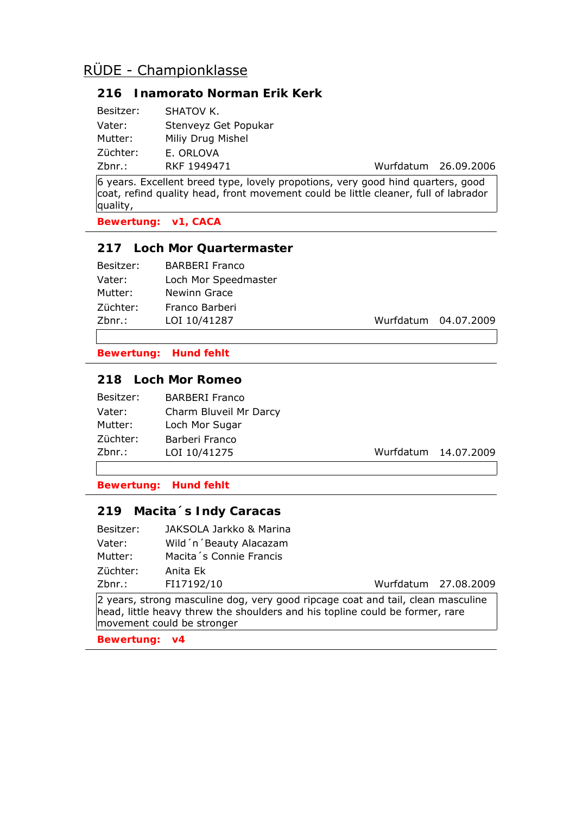# RÜDE - Championklasse

### **216 Inamorato Norman Erik Kerk**

| Besitzer: | SHATOV K.            |
|-----------|----------------------|
| Vater:    | Stenveyz Get Popukar |
| Mutter:   | Miliy Drug Mishel    |
| Züchter:  | E. ORLOVA            |
| Zbnr.:    | RKF 1949471          |

Wurfdatum 26.09.2006

6 years. Excellent breed type, lovely propotions, very good hind quarters, good coat, refind quality head, front movement could be little cleaner, full of labrador quality,

**Bewertung: v1, CACA**

#### **217 Loch Mor Quartermaster**

| Besitzer: | <b>BARBERI Franco</b> |
|-----------|-----------------------|
| Vater:    | Loch Mor Speedmaster  |
| Mutter:   | <b>Newinn Grace</b>   |
| Züchter:  | Franco Barberi        |
| Zbnr.:    | LOI 10/41287          |

Wurfdatum 04.07.2009

**Bewertung: Hund fehlt**

## **218 Loch Mor Romeo**

| Charm Bluveil Mr Darcy |
|------------------------|
|                        |
|                        |
|                        |
|                        |

Wurfdatum 14.07.2009

**Bewertung: Hund fehlt**

#### **219 Macita´s Indy Caracas**

| Besitzer: | JAKSOLA Jarkko & Marina |
|-----------|-------------------------|
| Vater:    | Wild'n'Beauty Alacazam  |
| Mutter:   | Macita's Connie Francis |
| Züchter:  | Anita Ek                |
| 7hnr.:    | FI17192/10              |

Wurfdatum 27.08.2009

2 years, strong masculine dog, very good ripcage coat and tail, clean masculine head, little heavy threw the shoulders and his topline could be former, rare movement could be stronger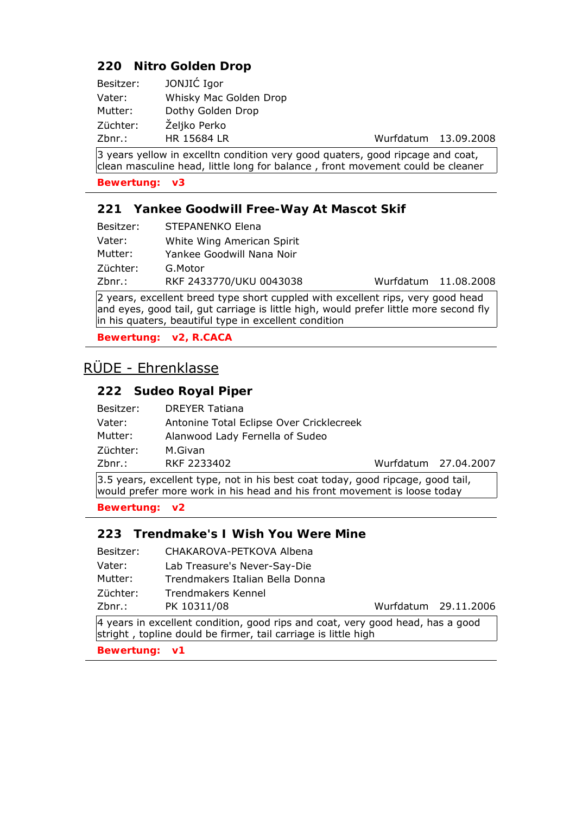## **220 Nitro Golden Drop**

| Besitzer: | JONJIĆ Igor            |
|-----------|------------------------|
| Vater:    | Whisky Mac Golden Drop |
| Mutter:   | Dothy Golden Drop      |
| Züchter:  | Željko Perko           |
| Zbnr.:    | HR 15684 LR            |

Wurfdatum 13.09.2008

 $\vert$ 3 years yellow in excelltn condition very good quaters, good ripcage and coat, clean masculine head, little long for balance , front movement could be cleaner

**Bewertung: v3**

#### **221 Yankee Goodwill Free-Way At Mascot Skif**

| Besitzer: | STEPANENKO Elena           |
|-----------|----------------------------|
| Vater:    | White Wing American Spirit |
| Mutter:   | Yankee Goodwill Nana Noir  |
| Züchter:  | G.Motor                    |
| Zbnr.:    | RKF 2433770/UKU 0043038    |

Wurfdatum 11.08.2008

2 years, excellent breed type short cuppled with excellent rips, very good head and eyes, good tail, gut carriage is little high, would prefer little more second fly in his quaters, beautiful type in excellent condition

**Bewertung: v2, R.CACA**

# RÜDE - Ehrenklasse

### **222 Sudeo Royal Piper**

| Besitzer:                                                                                                                                                    | <b>DREYER Tatiana</b>                    |                      |  |
|--------------------------------------------------------------------------------------------------------------------------------------------------------------|------------------------------------------|----------------------|--|
| Vater:                                                                                                                                                       | Antonine Total Eclipse Over Cricklecreek |                      |  |
| Mutter:                                                                                                                                                      | Alanwood Lady Fernella of Sudeo          |                      |  |
| Züchter:                                                                                                                                                     | M.Givan                                  |                      |  |
| Zbnr.:                                                                                                                                                       | RKF 2233402                              | Wurfdatum 27.04.2007 |  |
| [3.5 years, excellent type, not in his best coat today, good ripcage, good tail,<br>would prefer more work in his head and his front movement is loose today |                                          |                      |  |

**Bewertung: v2**

### **223 Trendmake's I Wish You Were Mine**

- Besitzer: CHAKAROVA-PETKOVA Albena
- Vater: Lab Treasure's Never-Say-Die
- Mutter: Trendmakers Italian Bella Donna
- Züchter: Trendmakers Kennel
- Zbnr.: PK 10311/08 Wurfdatum 29.11.2006

4 years in excellent condition, good rips and coat, very good head, has a good stright , topline dould be firmer, tail carriage is little high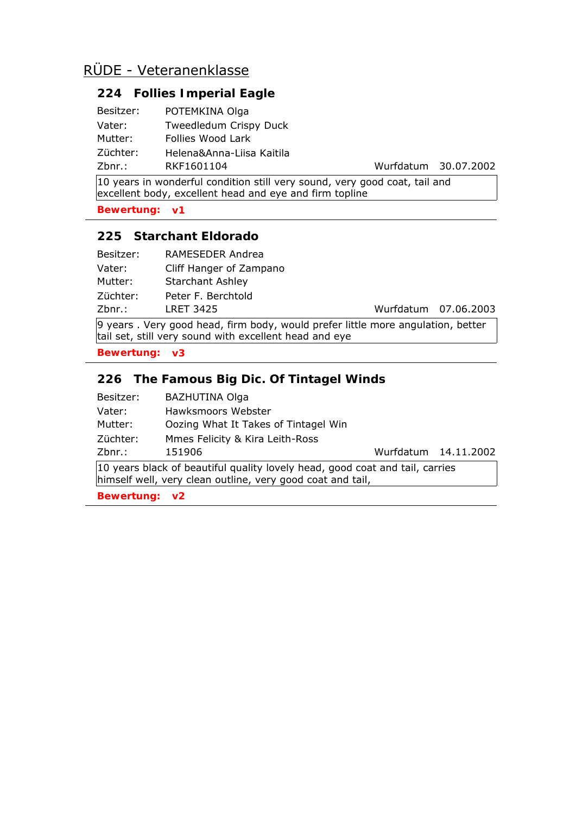# **224 Follies Imperial Eagle**

| Besitzer: | POTEMKINA Olga            |
|-----------|---------------------------|
| Vater:    | Tweedledum Crispy Duck    |
| Mutter:   | Follies Wood Lark         |
| Züchter:  | Helena&Anna-Liisa Kaitila |
| Zbnr.     | RKF1601104                |

Wurfdatum 30.07.2002

10 years in wonderful condition still very sound, very good coat, tail and excellent body, excellent head and eye and firm topline

**Bewertung: v1**

## **225 Starchant Eldorado**

| Besitzer: | RAMESEDER Andrea        |
|-----------|-------------------------|
| Vater:    | Cliff Hanger of Zampano |
| Mutter:   | <b>Starchant Ashley</b> |
| Züchter:  | Peter F. Berchtold      |
| Zbnr.:    | <b>LRET 3425</b>        |

Wurfdatum 07.06.2003

9 years . Very good head, firm body, would prefer little more angulation, better tail set, still very sound with excellent head and eye

**Bewertung: v3**

## **226 The Famous Big Dic. Of Tintagel Winds**

| Besitzer:                                                                                                                                  | <b>BAZHUTINA Olga</b>                |                      |  |
|--------------------------------------------------------------------------------------------------------------------------------------------|--------------------------------------|----------------------|--|
| Vater:                                                                                                                                     | Hawksmoors Webster                   |                      |  |
| Mutter:                                                                                                                                    | Oozing What It Takes of Tintagel Win |                      |  |
| Züchter:                                                                                                                                   | Mmes Felicity & Kira Leith-Ross      |                      |  |
| Zbnr.:                                                                                                                                     | 151906                               | Wurfdatum 14.11.2002 |  |
| 10 years black of beautiful quality lovely head, good coat and tail, carries<br>himself well, very clean outline, very good coat and tail, |                                      |                      |  |
| Bewertung: v2                                                                                                                              |                                      |                      |  |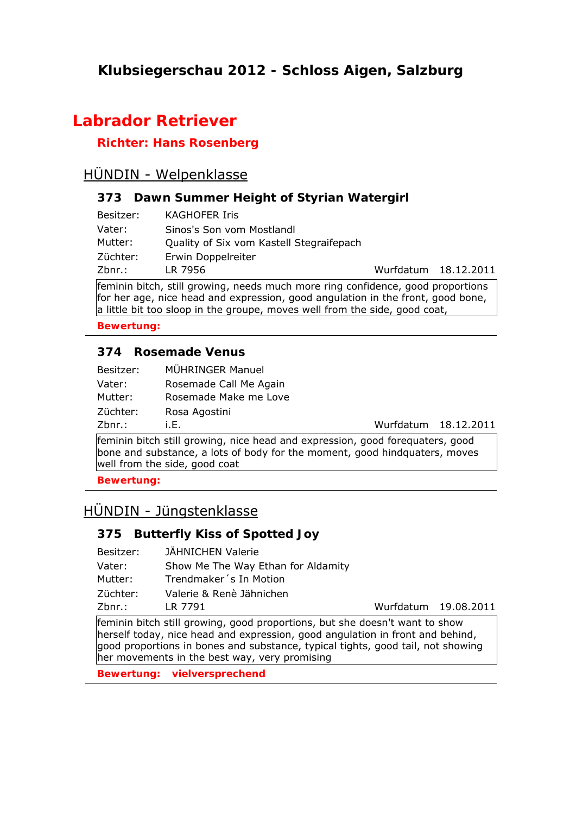# **Klubsiegerschau 2012 - Schloss Aigen, Salzburg**

# **Labrador Retriever**

# **Richter: Hans Rosenberg**

# HÜNDIN - Welpenklasse

## **373 Dawn Summer Height of Styrian Watergirl**

| Besitzer: | <b>KAGHOFER Iris</b>                     |                      |  |
|-----------|------------------------------------------|----------------------|--|
| Vater:    | Sinos's Son vom Mostlandl                |                      |  |
| Mutter:   | Quality of Six vom Kastell Stegraifepach |                      |  |
| Züchter:  | Erwin Doppelreiter                       |                      |  |
| Zbnr.:    | LR 7956                                  | Wurfdatum 18.12.2011 |  |

feminin bitch, still growing, needs much more ring confidence, good proportions for her age, nice head and expression, good angulation in the front, good bone, a little bit too sloop in the groupe, moves well from the side, good coat,

**Bewertung:** 

## **374 Rosemade Venus**

| Besitzer: | MÜHRINGER Manuel       |
|-----------|------------------------|
| Vater:    | Rosemade Call Me Again |
| Mutter:   | Rosemade Make me Love  |
| Züchter:  | Rosa Agostini          |
| Zbnr.:    | i.E.                   |

Wurfdatum 18.12.2011

feminin bitch still growing, nice head and expression, good forequaters, good bone and substance, a lots of body for the moment, good hindquaters, moves well from the side, good coat

**Bewertung:** 

# HÜNDIN - Jüngstenklasse

# **375 Butterfly Kiss of Spotted Joy**

| Besitzer: | JÄHNICHEN Valerie                  |
|-----------|------------------------------------|
| Vater:    | Show Me The Way Ethan for Aldamity |
| Mutter:   | Trendmaker's In Motion             |
| Züchter:  | Valerie & Renè Jähnichen           |
| Zbnr.:    | LR 7791                            |

Wurfdatum 19.08.2011

feminin bitch still growing, good proportions, but she doesn't want to show herself today, nice head and expression, good angulation in front and behind, good proportions in bones and substance, typical tights, good tail, not showing her movements in the best way, very promising

**Bewertung: vielversprechend**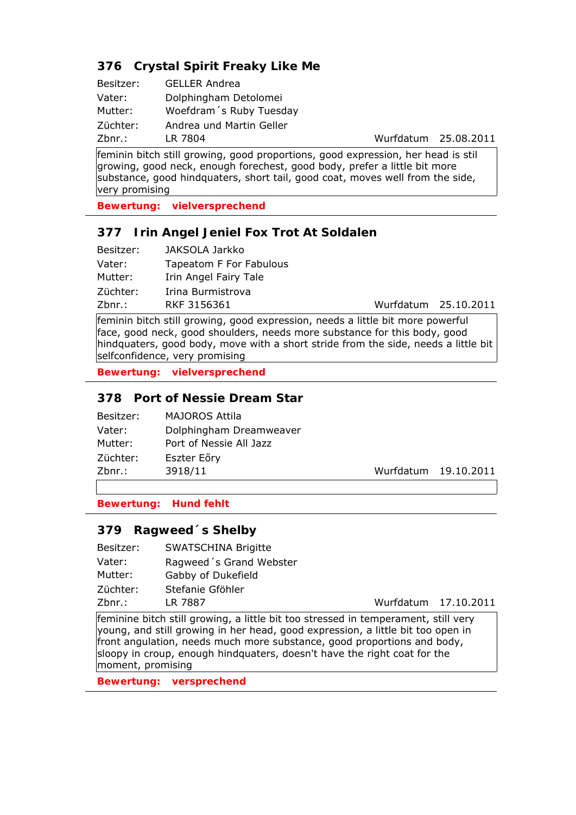## **376 Crystal Spirit Freaky Like Me**

| Besitzer: | <b>GELLER Andrea</b>     |
|-----------|--------------------------|
| Vater:    | Dolphingham Detolomei    |
| Mutter:   | Woefdram's Ruby Tuesday  |
| Züchter:  | Andrea und Martin Geller |
| Zbnr.:    | LR 7804                  |

Wurfdatum 25.08.2011

feminin bitch still growing, good proportions, good expression, her head is stil growing, good neck, enough forechest, good body, prefer a little bit more substance, good hindquaters, short tail, good coat, moves well from the side, very promising

**Bewertung: vielversprechend**

## **377 Irin Angel Jeniel Fox Trot At Soldalen**

| Besitzer: | JAKSOLA Jarkko          |                      |
|-----------|-------------------------|----------------------|
| Vater:    | Tapeatom F For Fabulous |                      |
| Mutter:   | Irin Angel Fairy Tale   |                      |
| Züchter:  | Irina Burmistrova       |                      |
| $Zbnr.$ : | RKF 3156361             | Wurfdatum 25.10.2011 |

feminin bitch still growing, good expression, needs a little bit more powerful face, good neck, good shoulders, needs more substance for this body, good hindquaters, good body, move with a short stride from the side, needs a little bit selfconfidence, very promising

**Bewertung: vielversprechend**

## **378 Port of Nessie Dream Star**

| Besitzer: | <b>MAJOROS Attila</b>   |                      |
|-----------|-------------------------|----------------------|
| Vater:    | Dolphingham Dreamweaver |                      |
| Mutter:   | Port of Nessie All Jazz |                      |
| Züchter:  | Eszter Eőry             |                      |
| Zbnr.:    | 3918/11                 | Wurfdatum 19.10.2011 |
|           |                         |                      |

**Bewertung: Hund fehlt**

### **379 Ragweed´s Shelby**

Besitzer: SWATSCHINA Brigitte

Vater: Ragweed´s Grand Webster

Mutter: Gabby of Dukefield

Züchter: Stefanie Gföhler

Zbnr.: LR 7887 Wurfdatum 17.10.2011

feminine bitch still growing, a little bit too stressed in temperament, still very young, and still growing in her head, good expression, a little bit too open in front angulation, needs much more substance, good proportions and body, sloopy in croup, enough hindquaters, doesn't have the right coat for the moment, promising

**Bewertung: versprechend**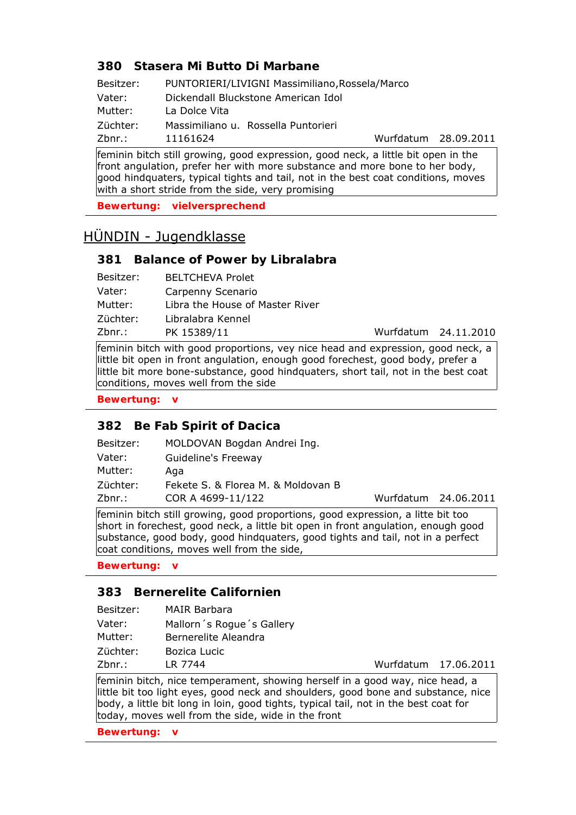## **380 Stasera Mi Butto Di Marbane**

| Besitzer: | PUNTORIERI/LIVIGNI Massimiliano, Rossela/Marco |           |
|-----------|------------------------------------------------|-----------|
| Vater:    | Dickendall Bluckstone American Idol            |           |
| Mutter:   | La Dolce Vita                                  |           |
| Züchter:  | Massimiliano u. Rossella Puntorieri            |           |
| $Zbnr.$ : | 11161624                                       | Wurfdatum |

feminin bitch still growing, good expression, good neck, a little bit open in the front angulation, prefer her with more substance and more bone to her body, good hindquaters, typical tights and tail, not in the best coat conditions, moves with a short stride from the side, very promising

**Bewertung: vielversprechend**

# HÜNDIN - Jugendklasse

#### **381 Balance of Power by Libralabra**

| <b>BELTCHEVA Prolet</b>         |
|---------------------------------|
| Carpenny Scenario               |
| Libra the House of Master River |
| Libralabra Kennel               |
| PK 15389/11                     |
|                                 |

Wurfdatum 24.11.2010

28.09.2011

feminin bitch with good proportions, vey nice head and expression, good neck, a little bit open in front angulation, enough good forechest, good body, prefer a little bit more bone-substance, good hindquaters, short tail, not in the best coat conditions, moves well from the side

#### **Bewertung: v**

#### **382 Be Fab Spirit of Dacica**

| Besitzer: | MOLDOVAN Bogdan Andrei Ing.        |                      |  |
|-----------|------------------------------------|----------------------|--|
| Vater:    | Guideline's Freeway                |                      |  |
| Mutter:   | Aga                                |                      |  |
| Züchter:  | Fekete S. & Florea M. & Moldovan B |                      |  |
| Zbnr.:    | COR A 4699-11/122                  | Wurfdatum 24.06.2011 |  |
|           |                                    |                      |  |

feminin bitch still growing, good proportions, good expression, a litte bit too short in forechest, good neck, a little bit open in front angulation, enough good substance, good body, good hindquaters, good tights and tail, not in a perfect coat conditions, moves well from the side,

**Bewertung: v**

## **383 Bernerelite Californien**

| Besitzer: | <b>MAIR Barbara</b>       |
|-----------|---------------------------|
| Vater:    | Mallorn's Rogue's Gallery |
| Mutter:   | Bernerelite Aleandra      |
| Züchter:  | Bozica Lucic              |
| Zbnr.:    | LR 7744                   |
|           |                           |

Wurfdatum 17.06.2011

feminin bitch, nice temperament, showing herself in a good way, nice head, a little bit too light eyes, good neck and shoulders, good bone and substance, nice body, a little bit long in loin, good tights, typical tail, not in the best coat for today, moves well from the side, wide in the front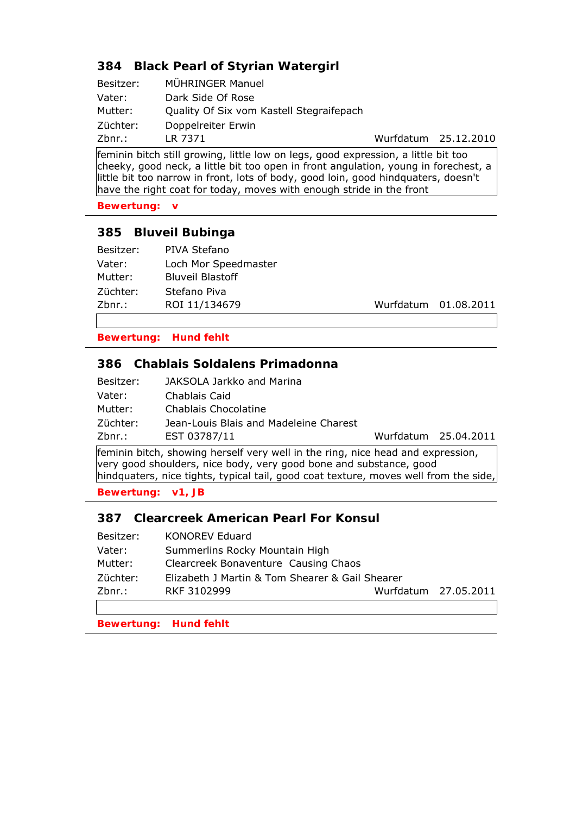## **384 Black Pearl of Styrian Watergirl**

| Besitzer: | MÜHRINGER Manuel                         |
|-----------|------------------------------------------|
| Vater:    | Dark Side Of Rose                        |
| Mutter:   | Quality Of Six vom Kastell Stegraifepach |
| Züchter:  | Doppelreiter Erwin                       |
| $Zbnr.$ : | LR 7371                                  |

Wurfdatum 25.12.2010

feminin bitch still growing, little low on legs, good expression, a little bit too cheeky, good neck, a little bit too open in front angulation, young in forechest, a little bit too narrow in front, lots of body, good loin, good hindquaters, doesn't have the right coat for today, moves with enough stride in the front

**Bewertung: v**

## **385 Bluveil Bubinga**

| Besitzer: | PIVA Stefano            |                      |
|-----------|-------------------------|----------------------|
| Vater:    | Loch Mor Speedmaster    |                      |
| Mutter:   | <b>Bluveil Blastoff</b> |                      |
| Züchter:  | Stefano Piva            |                      |
| Zbnr.:    | ROI 11/134679           | Wurfdatum 01.08.2011 |
|           |                         |                      |

**Bewertung: Hund fehlt**

## **386 Chablais Soldalens Primadonna**

|           | $\mathcal{C}$ . The set of the set of the set of the set of the set of the set of the set of the set of the set of the set of the set of the set of the set of the set of the set of the set of the set of the set of the set of t |                      |
|-----------|------------------------------------------------------------------------------------------------------------------------------------------------------------------------------------------------------------------------------------|----------------------|
| Zbnr.:    | EST 03787/11                                                                                                                                                                                                                       | Wurfdatum 25.04.2011 |
| Züchter:  | Jean-Louis Blais and Madeleine Charest                                                                                                                                                                                             |                      |
| Mutter:   | Chablais Chocolatine                                                                                                                                                                                                               |                      |
| Vater:    | Chablais Caid                                                                                                                                                                                                                      |                      |
| Besitzer: | JAKSOLA Jarkko and Marina                                                                                                                                                                                                          |                      |

feminin bitch, showing herself very well in the ring, nice head and expression, very good shoulders, nice body, very good bone and substance, good hindquaters, nice tights, typical tail, good coat texture, moves well from the side,

**Bewertung: v1, JB**

### **387 Clearcreek American Pearl For Konsul**

| <b>KONOREV Eduard</b>                |                                                 |
|--------------------------------------|-------------------------------------------------|
| Summerlins Rocky Mountain High       |                                                 |
| Clearcreek Bonaventure Causing Chaos |                                                 |
|                                      |                                                 |
| RKF 3102999                          | Wurfdatum 27.05.2011                            |
|                                      |                                                 |
|                                      | Elizabeth J Martin & Tom Shearer & Gail Shearer |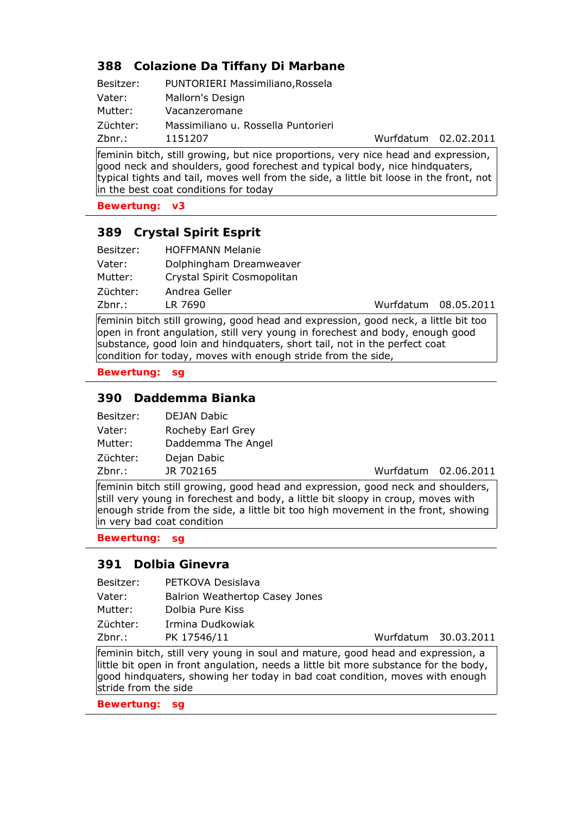## **388 Colazione Da Tiffany Di Marbane**

| Besitzer: | PUNTORIERI Massimiliano, Rossela    |                      |
|-----------|-------------------------------------|----------------------|
| Vater:    | Mallorn's Design                    |                      |
| Mutter:   | Vacanzeromane                       |                      |
| Züchter:  | Massimiliano u. Rossella Puntorieri |                      |
| Zbnr.:    | 1151207                             | Wurfdatum 02.02.2011 |

feminin bitch, still growing, but nice proportions, very nice head and expression, good neck and shoulders, good forechest and typical body, nice hindquaters, typical tights and tail, moves well from the side, a little bit loose in the front, not in the best coat conditions for today

**Bewertung: v3**

## **389 Crystal Spirit Esprit**

| Besitzer: | <b>HOFFMANN Melanie</b>     |                      |  |
|-----------|-----------------------------|----------------------|--|
| Vater:    | Dolphingham Dreamweaver     |                      |  |
| Mutter:   | Crystal Spirit Cosmopolitan |                      |  |
| Züchter:  | Andrea Geller               |                      |  |
| Zbnr.:    | LR 7690                     | Wurfdatum 08.05.2011 |  |

feminin bitch still growing, good head and expression, good neck, a little bit too open in front angulation, still very young in forechest and body, enough good substance, good loin and hindquaters, short tail, not in the perfect coat condition for today, moves with enough stride from the side,

**Bewertung: sg**

### **390 Daddemma Bianka**

| Besitzer: | <b>DEJAN Dabic</b> |
|-----------|--------------------|
| Vater:    | Rocheby Earl Grey  |
| Mutter:   | Daddemma The Angel |
| Züchter:  | Dejan Dabic        |
| Zbnr.:    | JR 702165          |

Wurfdatum 02.06.2011

feminin bitch still growing, good head and expression, good neck and shoulders, still very young in forechest and body, a little bit sloopy in croup, moves with enough stride from the side, a little bit too high movement in the front, showing in very bad coat condition

**Bewertung: sg**

#### **391 Dolbia Ginevra**

| Besitzer: | PETKOVA Desislava              |
|-----------|--------------------------------|
| Vater:    | Balrion Weathertop Casey Jones |
| Mutter:   | Dolbia Pure Kiss               |
| Züchter:  | Irmina Dudkowiak               |
| Zbnr.:    | PK 17546/11                    |

Wurfdatum 30.03.2011

feminin bitch, still very young in soul and mature, good head and expression, a little bit open in front angulation, needs a little bit more substance for the body, good hindquaters, showing her today in bad coat condition, moves with enough stride from the side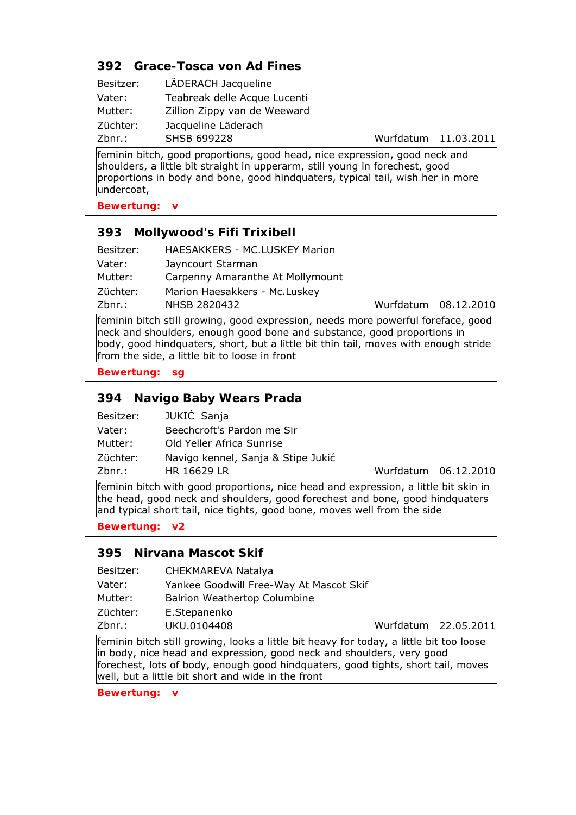## **392 Grace-Tosca von Ad Fines**

| Besitzer: | LÄDERACH Jacqueline          |
|-----------|------------------------------|
| Vater:    | Teabreak delle Acque Lucenti |
| Mutter:   | Zillion Zippy van de Weeward |
| Züchter:  | Jacqueline Läderach          |
| Zbnr.:    | <b>SHSB 699228</b>           |

Wurfdatum 11.03.2011

feminin bitch, good proportions, good head, nice expression, good neck and shoulders, a little bit straight in upperarm, still young in forechest, good proportions in body and bone, good hindquaters, typical tail, wish her in more undercoat,

**Bewertung: v**

## **393 Mollywood's Fifi Trixibell**

| Besitzer: | HAESAKKERS - MC.LUSKEY Marion    |                      |
|-----------|----------------------------------|----------------------|
| Vater:    | Jayncourt Starman                |                      |
| Mutter:   | Carpenny Amaranthe At Mollymount |                      |
| Züchter:  | Marion Haesakkers - Mc.Luskey    |                      |
| Zbnr.:    | NHSB 2820432                     | Wurfdatum 08.12.2010 |
|           |                                  |                      |

feminin bitch still growing, good expression, needs more powerful foreface, good neck and shoulders, enough good bone and substance, good proportions in body, good hindquaters, short, but a little bit thin tail, moves with enough stride from the side, a little bit to loose in front

**Bewertung: sg**

## **394 Navigo Baby Wears Prada**

| Besitzer: | JUKIĆ Sanja                        |
|-----------|------------------------------------|
| Vater:    | Beechcroft's Pardon me Sir         |
| Mutter:   | Old Yeller Africa Sunrise          |
| Züchter:  | Navigo kennel, Sanja & Stipe Jukić |
| Zbnr.:    | <b>HR 16629 LR</b>                 |

Wurfdatum 06.12.2010

feminin bitch with good proportions, nice head and expression, a little bit skin in the head, good neck and shoulders, good forechest and bone, good hindquaters and typical short tail, nice tights, good bone, moves well from the side

**Bewertung: v2**

### **395 Nirvana Mascot Skif**

|           | المجامرة والمناط والمنازلين ورواحه والمتاري وورودا والمنازل والمعارض والمحاورون والمنازل والمناط والمتحددة |                      |  |
|-----------|------------------------------------------------------------------------------------------------------------|----------------------|--|
| Zbnr.:    | UKU.0104408                                                                                                | Wurfdatum 22.05.2011 |  |
| Züchter:  | E.Stepanenko                                                                                               |                      |  |
| Mutter:   | <b>Balrion Weathertop Columbine</b>                                                                        |                      |  |
| Vater:    | Yankee Goodwill Free-Way At Mascot Skif                                                                    |                      |  |
| Besitzer: | CHEKMAREVA Natalya                                                                                         |                      |  |

feminin bitch still growing, looks a little bit heavy for today, a little bit too loose in body, nice head and expression, good neck and shoulders, very good forechest, lots of body, enough good hindquaters, good tights, short tail, moves well, but a little bit short and wide in the front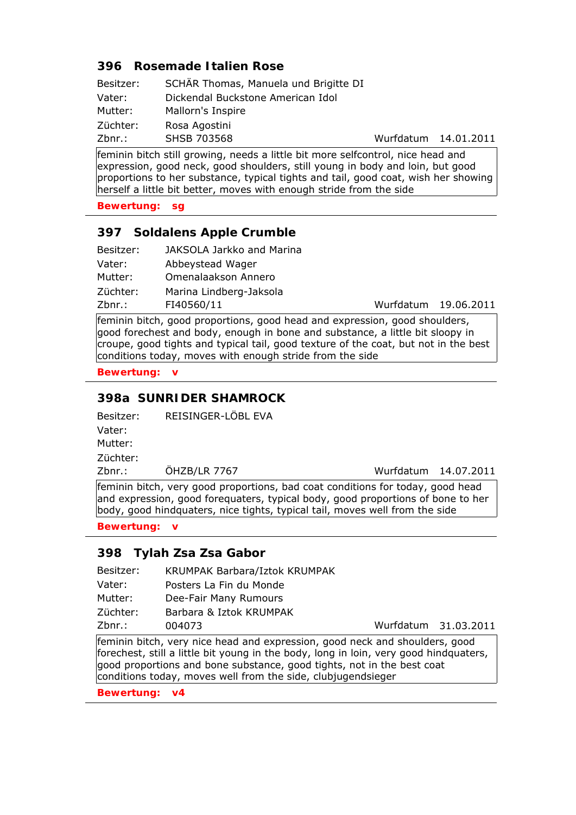### **396 Rosemade Italien Rose**

| Besitzer: | SCHÄR Thomas, Manuela und Brigitte DI |                      |  |
|-----------|---------------------------------------|----------------------|--|
| Vater:    | Dickendal Buckstone American Idol     |                      |  |
| Mutter:   | Mallorn's Inspire                     |                      |  |
| Züchter:  | Rosa Agostini                         |                      |  |
| Zbnr.:    | SHSB 703568                           | Wurfdatum 14.01.2011 |  |

feminin bitch still growing, needs a little bit more selfcontrol, nice head and expression, good neck, good shoulders, still young in body and loin, but good proportions to her substance, typical tights and tail, good coat, wish her showing herself a little bit better, moves with enough stride from the side

**Bewertung: sg**

## **397 Soldalens Apple Crumble**

| Besitzer: | JAKSOLA Jarkko and Marina |                      |  |
|-----------|---------------------------|----------------------|--|
| Vater:    | Abbeystead Wager          |                      |  |
| Mutter:   | Omenalaakson Annero       |                      |  |
| Züchter:  | Marina Lindberg-Jaksola   |                      |  |
| Zbnr.:    | FI40560/11                | Wurfdatum 19.06.2011 |  |

feminin bitch, good proportions, good head and expression, good shoulders, good forechest and body, enough in bone and substance, a little bit sloopy in croupe, good tights and typical tail, good texture of the coat, but not in the best conditions today, moves with enough stride from the side

**Bewertung: v**

### **398a SUNRIDER SHAMROCK**

Besitzer: REISINGER-LÖBL EVA Vater:

Mutter:

Züchter:

Zbnr.: ÖHZB/LR 7767 Wurfdatum 14.07.2011

feminin bitch, very good proportions, bad coat conditions for today, good head and expression, good forequaters, typical body, good proportions of bone to her body, good hindquaters, nice tights, typical tail, moves well from the side

**Bewertung: v**

### **398 Tylah Zsa Zsa Gabor**

- Besitzer: KRUMPAK Barbara/Iztok KRUMPAK Vater: Posters La Fin du Monde
- Mutter: Dee-Fair Many Rumours
- Züchter: Barbara & Iztok KRUMPAK

Zbnr.: 004073 Wurfdatum 31.03.2011

feminin bitch, very nice head and expression, good neck and shoulders, good forechest, still a little bit young in the body, long in loin, very good hindquaters, good proportions and bone substance, good tights, not in the best coat conditions today, moves well from the side, clubjugendsieger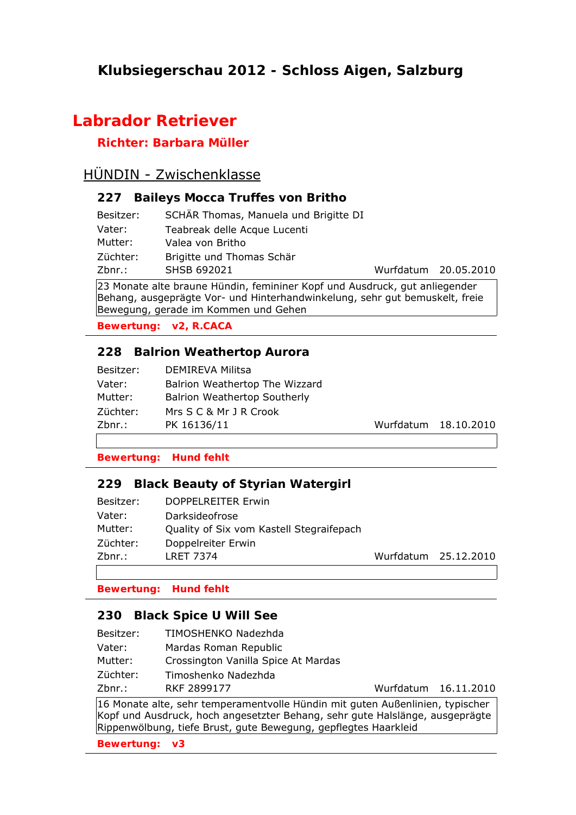# **Klubsiegerschau 2012 - Schloss Aigen, Salzburg**

# **Labrador Retriever**

## **Richter: Barbara Müller**

# HÜNDIN - Zwischenklasse

### **227 Baileys Mocca Truffes von Britho**

| Besitzer: | SCHÄR Thomas, Manuela und Brigitte DI |
|-----------|---------------------------------------|
| Vater:    | Teabreak delle Acque Lucenti          |
| Mutter:   | Valea von Britho                      |
| Züchter:  | Brigitte und Thomas Schär             |
| Zbnr.:    | SHSB 692021                           |

Wurfdatum 20.05.2010

23 Monate alte braune Hündin, femininer Kopf und Ausdruck, gut anliegender Behang, ausgeprägte Vor- und Hinterhandwinkelung, sehr gut bemuskelt, freie Bewegung, gerade im Kommen und Gehen

**Bewertung: v2, R.CACA**

## **228 Balrion Weathertop Aurora**

| Besitzer: | <b>DEMIREVA Militsa</b>             |
|-----------|-------------------------------------|
| Vater:    | Balrion Weathertop The Wizzard      |
| Mutter:   | <b>Balrion Weathertop Southerly</b> |
| Züchter:  | Mrs S C & Mr 1 R Crook              |
| Zbnr.:    | PK 16136/11                         |

Wurfdatum 18.10.2010

#### **Bewertung: Hund fehlt**

### **229 Black Beauty of Styrian Watergirl**

| Zbnr.:    | <b>LRET 7374</b>                         |
|-----------|------------------------------------------|
| Züchter:  | Doppelreiter Erwin                       |
| Mutter:   | Quality of Six vom Kastell Stegraifepach |
| Vater:    | Darksideofrose                           |
| Besitzer: | DOPPELREITER Erwin                       |

Wurfdatum 25.12.2010

**Bewertung: Hund fehlt**

### **230 Black Spice U Will See**

- Vater: Mardas Roman Republic
- Mutter: Crossington Vanilla Spice At Mardas
- Züchter: Timoshenko Nadezhda

Zbnr.: RKF 2899177 Wurfdatum 16.11.2010

16 Monate alte, sehr temperamentvolle Hündin mit guten Außenlinien, typischer Kopf und Ausdruck, hoch angesetzter Behang, sehr gute Halslänge, ausgeprägte Rippenwölbung, tiefe Brust, gute Bewegung, gepflegtes Haarkleid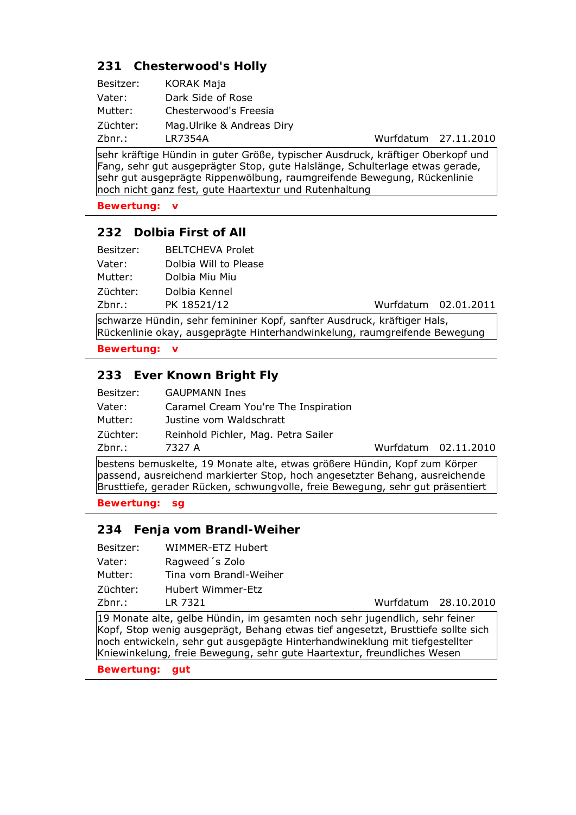## **231 Chesterwood's Holly**

| Besitzer: | KORAK Maja                 |
|-----------|----------------------------|
| Vater:    | Dark Side of Rose          |
| Mutter:   | Chesterwood's Freesia      |
| Züchter:  | Mag. Ulrike & Andreas Diry |
| Zbnr.:    | LR7354A                    |

Wurfdatum 27.11.2010

sehr kräftige Hündin in guter Größe, typischer Ausdruck, kräftiger Oberkopf und Fang, sehr gut ausgeprägter Stop, gute Halslänge, Schulterlage etwas gerade, sehr gut ausgeprägte Rippenwölbung, raumgreifende Bewegung, Rückenlinie noch nicht ganz fest, gute Haartextur und Rutenhaltung

**Bewertung: v**

## **232 Dolbia First of All**

| Zbnr.:    | PK 18521/12             | Wurfdatum 02.01.2011 |
|-----------|-------------------------|----------------------|
| Züchter:  | Dolbia Kennel           |                      |
| Mutter:   | Dolbia Miu Miu          |                      |
| Vater:    | Dolbia Will to Please   |                      |
| Besitzer: | <b>BELTCHEVA Prolet</b> |                      |

schwarze Hündin, sehr femininer Kopf, sanfter Ausdruck, kräftiger Hals, Rückenlinie okay, ausgeprägte Hinterhandwinkelung, raumgreifende Bewegung

**Bewertung: v**

## **233 Ever Known Bright Fly**

| Besitzer: | <b>GAUPMANN Ines</b>                 |                      |  |
|-----------|--------------------------------------|----------------------|--|
| Vater:    | Caramel Cream You're The Inspiration |                      |  |
| Mutter:   | Justine vom Waldschratt              |                      |  |
| Züchter:  | Reinhold Pichler, Mag. Petra Sailer  |                      |  |
| Zbnr.:    | 7327 A                               | Wurfdatum 02.11.2010 |  |

bestens bemuskelte, 19 Monate alte, etwas größere Hündin, Kopf zum Körper passend, ausreichend markierter Stop, hoch angesetzter Behang, ausreichende Brusttiefe, gerader Rücken, schwungvolle, freie Bewegung, sehr gut präsentiert

**Bewertung: sg**

### **234 Fenja vom Brandl-Weiher**

| Besitzer: | WIMMER-ETZ Hubert      |                      |
|-----------|------------------------|----------------------|
| Vater:    | Ragweed 's Zolo        |                      |
| Mutter:   | Tina vom Brandl-Weiher |                      |
| Züchter:  | Hubert Wimmer-Etz      |                      |
| Zbnr.:    | LR 7321                | Wurfdatum 28.10.2010 |

19 Monate alte, gelbe Hündin, im gesamten noch sehr jugendlich, sehr feiner Kopf, Stop wenig ausgeprägt, Behang etwas tief angesetzt, Brusttiefe sollte sich noch entwickeln, sehr gut ausgepägte Hinterhandwineklung mit tiefgestellter Kniewinkelung, freie Bewegung, sehr gute Haartextur, freundliches Wesen

**Bewertung: gut**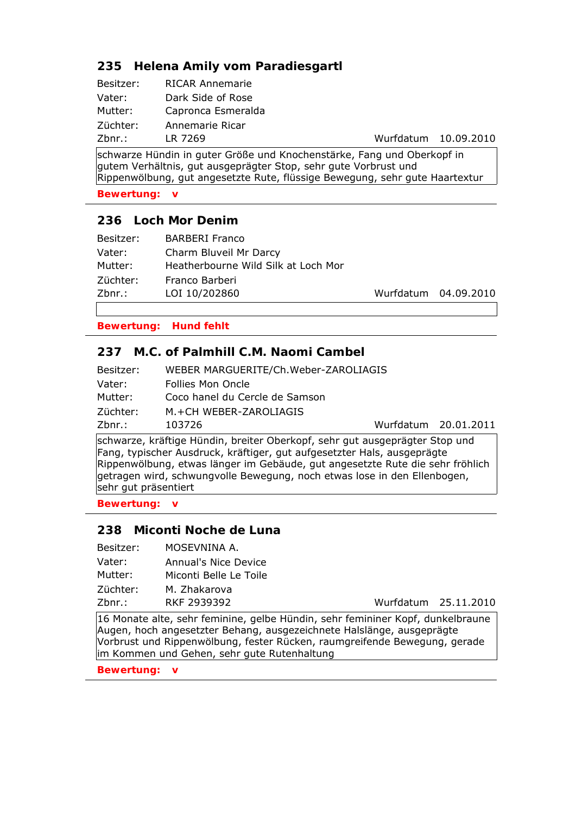## **235 Helena Amily vom Paradiesgartl**

| Besitzer: | <b>RICAR Annemarie</b> |
|-----------|------------------------|
| Vater:    | Dark Side of Rose      |
| Mutter:   | Capronca Esmeralda     |
| Züchter:  | Annemarie Ricar        |
| Zbnr.:    | LR 7269                |

Wurfdatum 10.09.2010

schwarze Hündin in guter Größe und Knochenstärke, Fang und Oberkopf in gutem Verhältnis, gut ausgeprägter Stop, sehr gute Vorbrust und Rippenwölbung, gut angesetzte Rute, flüssige Bewegung, sehr gute Haartextur

**Bewertung: v**

### **236 Loch Mor Denim**

| Besitzer: | <b>BARBERI Franco</b>               |
|-----------|-------------------------------------|
| Vater:    | Charm Bluveil Mr Darcy              |
| Mutter:   | Heatherbourne Wild Silk at Loch Mor |
| Züchter:  | Franco Barberi                      |
| Zbnr.:    | LOI 10/202860                       |

Wurfdatum 04.09.2010

**Bewertung: Hund fehlt**

### **237 M.C. of Palmhill C.M. Naomi Cambel**

|           | $\mathbf{u} \cdot \mathbf{v}$ , and the set of the set of the set of the set of the set of the set of the set of the set of the set of the set of the set of the set of the set of the set of the set of the set of the set of the set of |                      |
|-----------|-------------------------------------------------------------------------------------------------------------------------------------------------------------------------------------------------------------------------------------------|----------------------|
| $Zbnr.$ : | 103726                                                                                                                                                                                                                                    | Wurfdatum 20.01.2011 |
| Züchter:  | M.+CH WEBER-ZAROLIAGIS                                                                                                                                                                                                                    |                      |
| Mutter:   | Coco hanel du Cercle de Samson                                                                                                                                                                                                            |                      |
| Vater:    | Follies Mon Oncle                                                                                                                                                                                                                         |                      |
| Besitzer: | WEBER MARGUERITE/Ch.Weber-ZAROLIAGIS                                                                                                                                                                                                      |                      |

schwarze, kräftige Hündin, breiter Oberkopf, sehr gut ausgeprägter Stop und Fang, typischer Ausdruck, kräftiger, gut aufgesetzter Hals, ausgeprägte Rippenwölbung, etwas länger im Gebäude, gut angesetzte Rute die sehr fröhlich getragen wird, schwungvolle Bewegung, noch etwas lose in den Ellenbogen, sehr gut präsentiert

**Bewertung: v**

#### **238 Miconti Noche de Luna**

Zbnr.: RKF 2939392 Wurfdatum 25.11.2010 Besitzer: MOSEVNINA A. Vater: Annual's Nice Device Mutter: Miconti Belle Le Toile Züchter: M. Zhakarova

16 Monate alte, sehr feminine, gelbe Hündin, sehr femininer Kopf, dunkelbraune Augen, hoch angesetzter Behang, ausgezeichnete Halslänge, ausgeprägte Vorbrust und Rippenwölbung, fester Rücken, raumgreifende Bewegung, gerade im Kommen und Gehen, sehr gute Rutenhaltung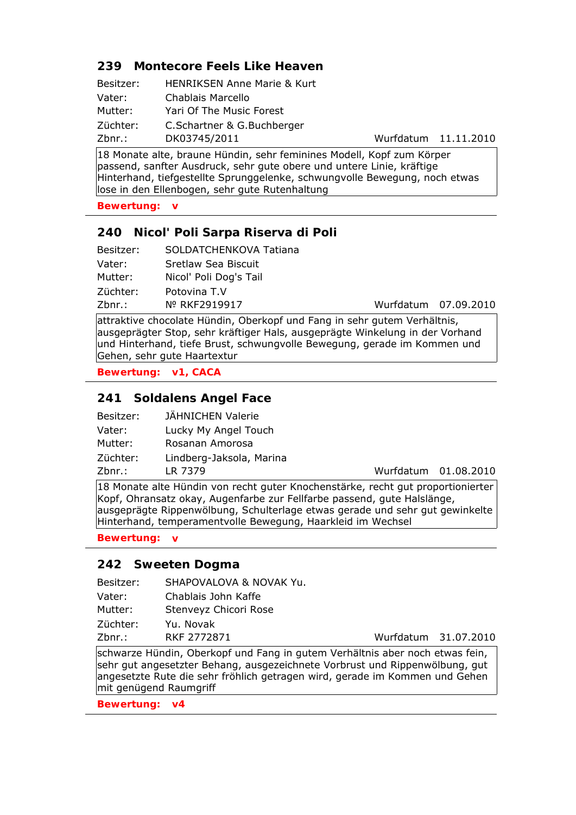## **239 Montecore Feels Like Heaven**

| Besitzer: | <b>HENRIKSEN Anne Marie &amp; Kurt</b> |
|-----------|----------------------------------------|
| Vater:    | Chablais Marcello                      |
| Mutter:   | Yari Of The Music Forest               |
| Züchter:  | C.Schartner & G.Buchberger             |
| Zbnr.:    | DK03745/2011                           |

Wurfdatum 11.11.2010

18 Monate alte, braune Hündin, sehr feminines Modell, Kopf zum Körper passend, sanfter Ausdruck, sehr gute obere und untere Linie, kräftige Hinterhand, tiefgestellte Sprunggelenke, schwungvolle Bewegung, noch etwas lose in den Ellenbogen, sehr gute Rutenhaltung

**Bewertung: v**

## **240 Nicol' Poli Sarpa Riserva di Poli**

| Besitzer: | SOLDATCHENKOVA Tatiana |
|-----------|------------------------|
| Vater:    | Sretlaw Sea Biscuit    |
| Mutter:   | Nicol' Poli Dog's Tail |
| Züchter:  | Potovina T.V           |
| Zbnr.:    | Nº RKF2919917          |

Wurfdatum 07.09.2010

attraktive chocolate Hündin, Oberkopf und Fang in sehr gutem Verhältnis, ausgeprägter Stop, sehr kräftiger Hals, ausgeprägte Winkelung in der Vorhand und Hinterhand, tiefe Brust, schwungvolle Bewegung, gerade im Kommen und Gehen, sehr gute Haartextur

**Bewertung: v1, CACA**

## **241 Soldalens Angel Face**

| Besitzer: | JÄHNICHEN Valerie        |
|-----------|--------------------------|
| Vater:    | Lucky My Angel Touch     |
| Mutter:   | Rosanan Amorosa          |
| Züchter:  | Lindberg-Jaksola, Marina |
| Zbnr.:    | LR 7379                  |

Wurfdatum 01.08.2010

18 Monate alte Hündin von recht guter Knochenstärke, recht gut proportionierter Kopf, Ohransatz okay, Augenfarbe zur Fellfarbe passend, gute Halslänge, ausgeprägte Rippenwölbung, Schulterlage etwas gerade und sehr gut gewinkelte Hinterhand, temperamentvolle Bewegung, Haarkleid im Wechsel

**Bewertung: v**

#### **242 Sweeten Dogma**

| Besitzer: | SHAPOVALOVA & NOVAK Yu.                                                     |                      |  |
|-----------|-----------------------------------------------------------------------------|----------------------|--|
| Vater:    | Chablais John Kaffe                                                         |                      |  |
| Mutter:   | Stenveyz Chicori Rose                                                       |                      |  |
| Züchter:  | Yu. Novak                                                                   |                      |  |
| Zbnr.:    | RKF 2772871                                                                 | Wurfdatum 31.07.2010 |  |
|           | schwarze Hündin. Oberkonf und Eang in gutem Verhältnis aber noch etwas fein |                      |  |

e Hündin, Oberkopf und Fang in gutem Verhältnis aber noch etwas fein, sehr gut angesetzter Behang, ausgezeichnete Vorbrust und Rippenwölbung, gut angesetzte Rute die sehr fröhlich getragen wird, gerade im Kommen und Gehen mit genügend Raumgriff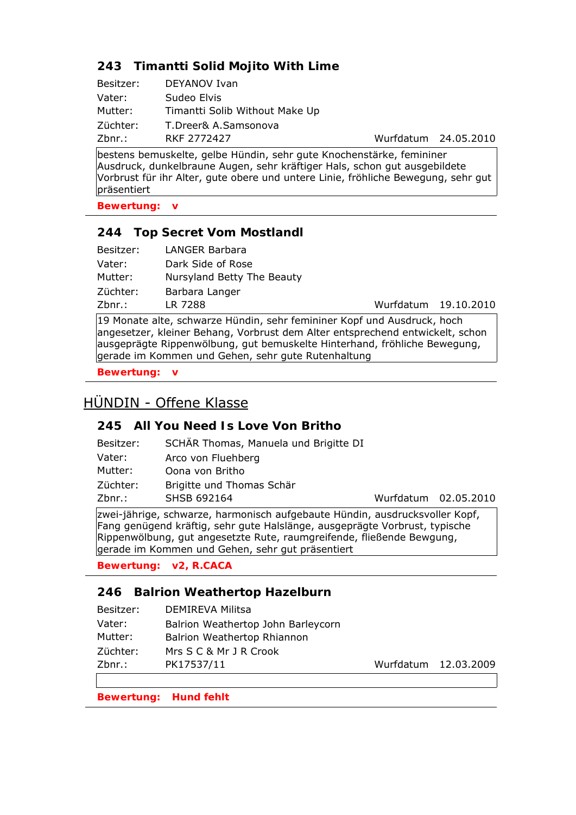# **243 Timantti Solid Mojito With Lime**

| Besitzer: | DEYANOV Ivan                   |
|-----------|--------------------------------|
| Vater:    | Sudeo Elvis                    |
| Mutter:   | Timantti Solib Without Make Up |
| Züchter:  | T.Dreer& A.Samsonova           |
| Zbnr.:    | <b>RKF 2772427</b>             |

Wurfdatum 24.05.2010

bestens bemuskelte, gelbe Hündin, sehr gute Knochenstärke, femininer Ausdruck, dunkelbraune Augen, sehr kräftiger Hals, schon gut ausgebildete Vorbrust für ihr Alter, gute obere und untere Linie, fröhliche Bewegung, sehr gut präsentiert

**Bewertung: v**

## **244 Top Secret Vom Mostlandl**

| Mutter:  | Nursyland Betty The Beauty |                      |
|----------|----------------------------|----------------------|
| Züchter: | Barbara Langer             |                      |
| Zbnr.:   | LR 7288                    | Wurfdatum 19.10.2010 |
|          |                            |                      |

19 Monate alte, schwarze Hündin, sehr femininer Kopf und Ausdruck, hoch angesetzer, kleiner Behang, Vorbrust dem Alter entsprechend entwickelt, schon ausgeprägte Rippenwölbung, gut bemuskelte Hinterhand, fröhliche Bewegung, gerade im Kommen und Gehen, sehr gute Rutenhaltung

**Bewertung: v**

# HÜNDIN - Offene Klasse

## **245 All You Need Is Love Von Britho**

| Besitzer: | SCHÄR Thomas, Manuela und Brigitte DI                                       |                      |  |
|-----------|-----------------------------------------------------------------------------|----------------------|--|
| Vater:    | Arco von Fluehberg                                                          |                      |  |
| Mutter:   | Oona von Britho                                                             |                      |  |
| Züchter:  | Brigitte und Thomas Schär                                                   |                      |  |
| Zbnr.:    | SHSB 692164                                                                 | Wurfdatum 02.05.2010 |  |
|           | zwei-jährige, schwarze, harmonisch aufgebaute Hündin, ausdrucksvoller Konf. |                      |  |

zu-jährige, schwarze, harmonisch aufgebaute Hündin, ausdri Fang genügend kräftig, sehr gute Halslänge, ausgeprägte Vorbrust, typische Rippenwölbung, gut angesetzte Rute, raumgreifende, fließende Bewgung, gerade im Kommen und Gehen, sehr gut präsentiert

**Bewertung: v2, R.CACA**

## **246 Balrion Weathertop Hazelburn**

| Besitzer: | DEMIREVA Militsa                   |                      |
|-----------|------------------------------------|----------------------|
| Vater:    | Balrion Weathertop John Barleycorn |                      |
| Mutter:   | Balrion Weathertop Rhiannon        |                      |
| Züchter:  | Mrs S C & Mr J R Crook             |                      |
| Zbnr.:    | PK17537/11                         | Wurfdatum 12.03.2009 |
|           |                                    |                      |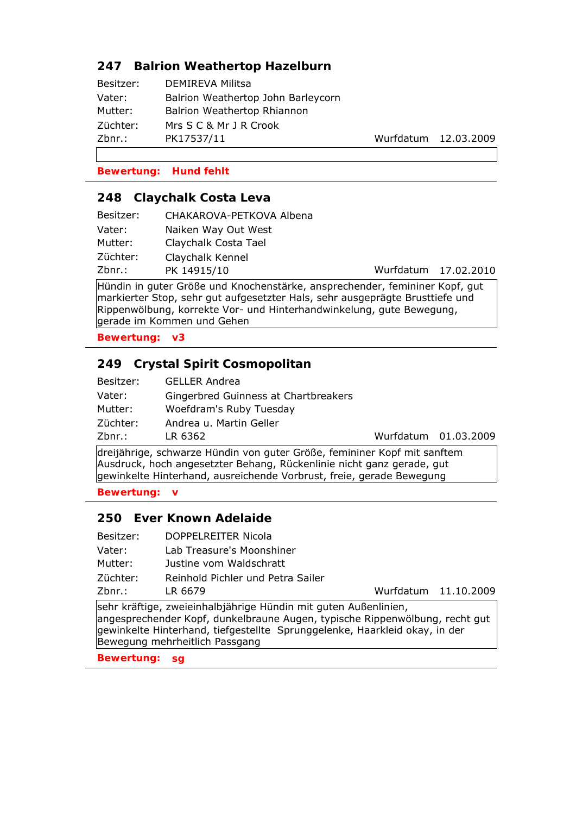## **247 Balrion Weathertop Hazelburn**

| Besitzer: | <b>DEMIREVA Militsa</b>            |
|-----------|------------------------------------|
| Vater:    | Balrion Weathertop John Barleycorn |
| Mutter:   | Balrion Weathertop Rhiannon        |
| Züchter:  | Mrs S C & Mr J R Crook             |
| Zbnr.:    | PK17537/11                         |
|           |                                    |

Wurfdatum 12.03.2009

#### **Bewertung: Hund fehlt**

#### **248 Claychalk Costa Leva**

| Besitzer: | CHAKAROVA-PETKOVA Albena |                      |
|-----------|--------------------------|----------------------|
| Vater:    | Naiken Way Out West      |                      |
| Mutter:   | Claychalk Costa Tael     |                      |
| Züchter:  | Claychalk Kennel         |                      |
| Zbnr.:    | PK 14915/10              | Wurfdatum 17.02.2010 |
|           |                          |                      |

Hündin in guter Größe und Knochenstärke, ansprechender, femininer Kopf, gut markierter Stop, sehr gut aufgesetzter Hals, sehr ausgeprägte Brusttiefe und Rippenwölbung, korrekte Vor- und Hinterhandwinkelung, gute Bewegung, gerade im Kommen und Gehen

**Bewertung: v3**

## **249 Crystal Spirit Cosmopolitan**

| Besitzer: | <b>GELLER Andrea</b>                 |
|-----------|--------------------------------------|
| Vater:    | Gingerbred Guinness at Chartbreakers |
| Mutter:   | Woefdram's Ruby Tuesday              |
| Züchter:  | Andrea u. Martin Geller              |
| Zbnr.:    | LR 6362                              |

Wurfdatum 01.03.2009

dreijährige, schwarze Hündin von guter Größe, femininer Kopf mit sanftem Ausdruck, hoch angesetzter Behang, Rückenlinie nicht ganz gerade, gut gewinkelte Hinterhand, ausreichende Vorbrust, freie, gerade Bewegung

**Bewertung: v**

#### **250 Ever Known Adelaide**

- Besitzer: DOPPELREITER Nicola Vater: Lab Treasure's Moonshiner
- Mutter: Justine vom Waldschratt

Züchter: Reinhold Pichler und Petra Sailer

Zbnr.: LR 6679 Wurfdatum 11.10.2009

sehr kräftige, zweieinhalbjährige Hündin mit guten Außenlinien, angesprechender Kopf, dunkelbraune Augen, typische Rippenwölbung, recht gut gewinkelte Hinterhand, tiefgestellte Sprunggelenke, Haarkleid okay, in der Bewegung mehrheitlich Passgang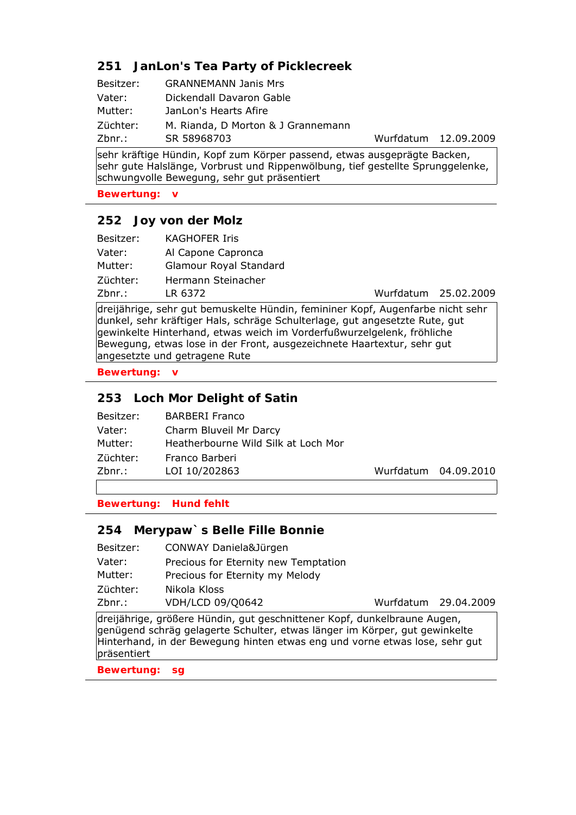## **251 JanLon's Tea Party of Picklecreek**

| Besitzer: | <b>GRANNEMANN Janis Mrs</b>        |
|-----------|------------------------------------|
| Vater:    | Dickendall Davaron Gable           |
| Mutter:   | JanLon's Hearts Afire              |
| Züchter:  | M. Rianda, D Morton & J Grannemann |
| Zbnr.:    | SR 58968703                        |

Wurfdatum 12.09.2009

sehr kräftige Hündin, Kopf zum Körper passend, etwas ausgeprägte Backen, sehr gute Halslänge, Vorbrust und Rippenwölbung, tief gestellte Sprunggelenke, schwungvolle Bewegung, sehr gut präsentiert

**Bewertung: v**

#### **252 Joy von der Molz**

| Besitzer: | KAGHOFER Iris          |                      |  |
|-----------|------------------------|----------------------|--|
| Vater:    | Al Capone Capronca     |                      |  |
| Mutter:   | Glamour Royal Standard |                      |  |
| Züchter:  | Hermann Steinacher     |                      |  |
| Zbnr.:    | LR 6372                | Wurfdatum 25.02.2009 |  |

dreijährige, sehr gut bemuskelte Hündin, femininer Kopf, Augenfarbe nicht sehr dunkel, sehr kräftiger Hals, schräge Schulterlage, gut angesetzte Rute, gut gewinkelte Hinterhand, etwas weich im Vorderfußwurzelgelenk, fröhliche Bewegung, etwas lose in der Front, ausgezeichnete Haartextur, sehr gut angesetzte und getragene Rute

**Bewertung: v**

## **253 Loch Mor Delight of Satin**

| Besitzer: | <b>BARBERI Franco</b>               |                      |
|-----------|-------------------------------------|----------------------|
| Vater:    | Charm Bluveil Mr Darcy              |                      |
| Mutter:   | Heatherbourne Wild Silk at Loch Mor |                      |
| Züchter:  | Franco Barberi                      |                      |
| Zbnr.:    | LOI 10/202863                       | Wurfdatum 04.09.2010 |
|           |                                     |                      |

**Bewertung: Hund fehlt**

### **254 Merypaw`s Belle Fille Bonnie**

| CONWAY Daniela&Jürgen |
|-----------------------|
|                       |

- Vater: Precious for Eternity new Temptation
- Mutter: Precious for Eternity my Melody

Züchter: Nikola Kloss

Zbnr.: VDH/LCD 09/Q0642 Wurfdatum 29.04.2009

dreijährige, größere Hündin, gut geschnittener Kopf, dunkelbraune Augen, genügend schräg gelagerte Schulter, etwas länger im Körper, gut gewinkelte Hinterhand, in der Bewegung hinten etwas eng und vorne etwas lose, sehr gut präsentiert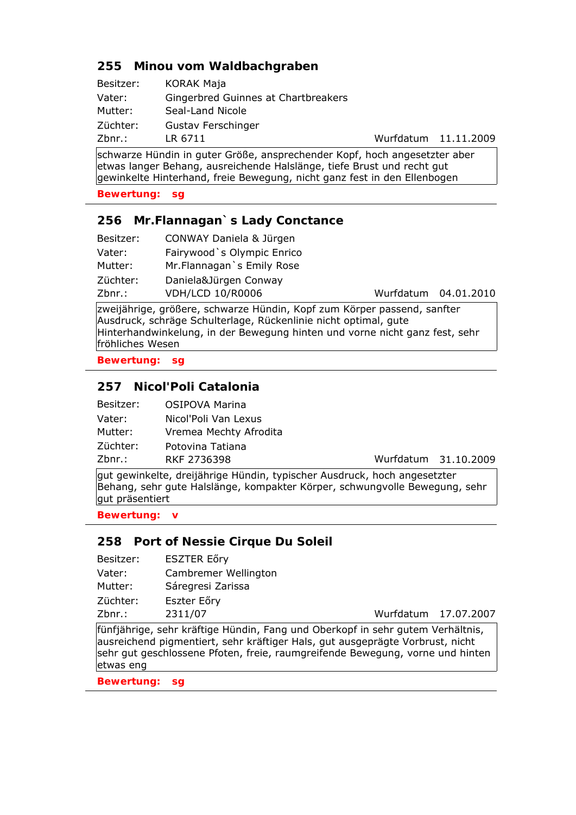## **255 Minou vom Waldbachgraben**

| Besitzer: | <b>KORAK Maja</b>                   |
|-----------|-------------------------------------|
| Vater:    | Gingerbred Guinnes at Chartbreakers |
| Mutter:   | Seal-Land Nicole                    |
| Züchter:  | Gustav Ferschinger                  |
| Zbnr.:    | LR 6711                             |

schwarze Hündin in guter Größe, ansprechender Kopf, hoch angesetzter aber etwas langer Behang, ausreichende Halslänge, tiefe Brust und recht gut gewinkelte Hinterhand, freie Bewegung, nicht ganz fest in den Ellenbogen

#### **Bewertung: sg**

#### **256 Mr.Flannagan`s Lady Conctance**

| Besitzer: | CONWAY Daniela & Jürgen     |
|-----------|-----------------------------|
| Vater:    | Fairywood `s Olympic Enrico |
| Mutter:   | Mr. Flannagan `s Emily Rose |
| Züchter:  | Daniela&Jürgen Conway       |
| Zbnr.:    | <b>VDH/LCD 10/R0006</b>     |

Wurfdatum 04.01.2010

Wurfdatum 11.11.2009

zweijährige, größere, schwarze Hündin, Kopf zum Körper passend, sanfter Ausdruck, schräge Schulterlage, Rückenlinie nicht optimal, gute Hinterhandwinkelung, in der Bewegung hinten und vorne nicht ganz fest, sehr fröhliches Wesen

**Bewertung: sg**

#### **257 Nicol'Poli Catalonia**

| Besitzer: | <b>OSIPOVA Marina</b>  |
|-----------|------------------------|
| Vater:    | Nicol'Poli Van Lexus   |
| Mutter:   | Vremea Mechty Afrodita |
| Züchter:  | Potovina Tatiana       |
| 7hnr ·    | RKF 2736398            |

Zbnr.: RKF 2736398 Wurfdatum 31.10.2009

gut gewinkelte, dreijährige Hündin, typischer Ausdruck, hoch angesetzter Behang, sehr gute Halslänge, kompakter Körper, schwungvolle Bewegung, sehr gut präsentiert

**Bewertung: v**

#### **258 Port of Nessie Cirque Du Soleil**

| Besitzer: | <b>ESZTER Eőry</b>                                                             |                      |  |
|-----------|--------------------------------------------------------------------------------|----------------------|--|
| Vater:    | Cambremer Wellington                                                           |                      |  |
| Mutter:   | Sáregresi Zarissa                                                              |                      |  |
| Züchter:  | Eszter Eőry                                                                    |                      |  |
| Zbnr.:    | 2311/07                                                                        | Wurfdatum 17.07.2007 |  |
|           | fünfjährige, sehr kräftige Hündin. Fang und Oberkopf in sehr gutem Verhältnis. |                      |  |

fünfjährige, sehr kräftige Hündin, Fang und Oberkopf in sehr gutem Verhältnis, ausreichend pigmentiert, sehr kräftiger Hals, gut ausgeprägte Vorbrust, nicht sehr gut geschlossene Pfoten, freie, raumgreifende Bewegung, vorne und hinten etwas eng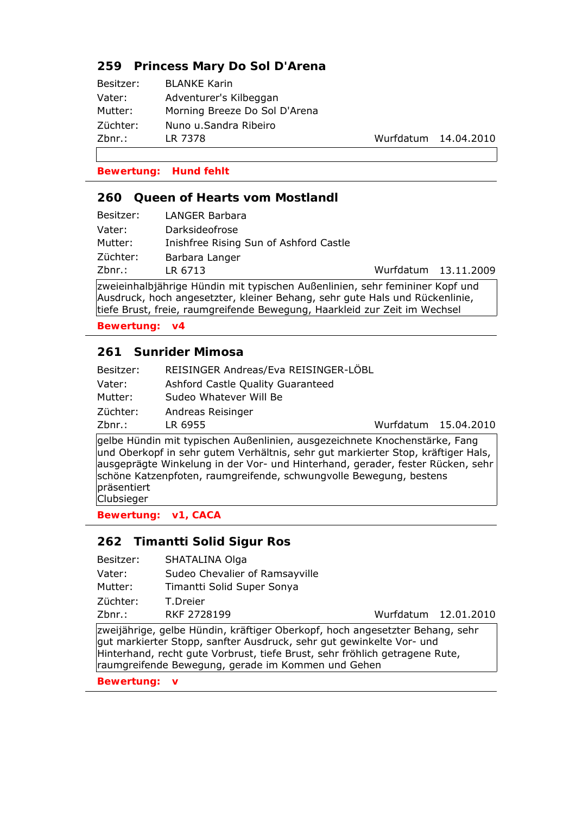## **259 Princess Mary Do Sol D'Arena**

| Besitzer: | <b>BLANKE Karin</b>           |
|-----------|-------------------------------|
| Vater:    | Adventurer's Kilbeggan        |
| Mutter:   | Morning Breeze Do Sol D'Arena |
| Züchter:  | Nuno u.Sandra Ribeiro         |
| Zbnr.:    | LR 7378                       |

Wurfdatum 14.04.2010

#### **Bewertung: Hund fehlt**

#### **260 Queen of Hearts vom Mostlandl**

| Besitzer: | LANGER Barbara                         |   |                      |
|-----------|----------------------------------------|---|----------------------|
| Vater:    | Darksideofrose                         |   |                      |
| Mutter:   | Inishfree Rising Sun of Ashford Castle |   |                      |
| Züchter:  | Barbara Langer                         |   |                      |
| Zbnr.:    | LR 6713                                |   | Wurfdatum 13.11.2009 |
|           | .                                      | . |                      |

zweieinhalbjährige Hündin mit typischen Außenlinien, sehr femininer Kopf und Ausdruck, hoch angesetzter, kleiner Behang, sehr gute Hals und Rückenlinie, tiefe Brust, freie, raumgreifende Bewegung, Haarkleid zur Zeit im Wechsel

**Bewertung: v4**

### **261 Sunrider Mimosa**

| Ashford Castle Quality Guaranteed |                      |                                      |
|-----------------------------------|----------------------|--------------------------------------|
| Sudeo Whatever Will Be            |                      |                                      |
| Andreas Reisinger                 |                      |                                      |
| LR 6955                           | Wurfdatum 15.04.2010 |                                      |
|                                   |                      | REISINGER Andreas/Eva REISINGER-LÖBL |

gelbe Hündin mit typischen Außenlinien, ausgezeichnete Knochenstärke, Fang und Oberkopf in sehr gutem Verhältnis, sehr gut markierter Stop, kräftiger Hals, ausgeprägte Winkelung in der Vor- und Hinterhand, gerader, fester Rücken, sehr schöne Katzenpfoten, raumgreifende, schwungvolle Bewegung, bestens präsentiert **Clubsieger** 

**Bewertung: v1, CACA**

#### **262 Timantti Solid Sigur Ros**

Vater: Sudeo Chevalier of Ramsayville

Mutter: Timantti Solid Super Sonya

Züchter: T.Dreier

Zbnr.: RKF 2728199 Wurfdatum 12.01.2010

zweijährige, gelbe Hündin, kräftiger Oberkopf, hoch angesetzter Behang, sehr gut markierter Stopp, sanfter Ausdruck, sehr gut gewinkelte Vor- und Hinterhand, recht gute Vorbrust, tiefe Brust, sehr fröhlich getragene Rute, raumgreifende Bewegung, gerade im Kommen und Gehen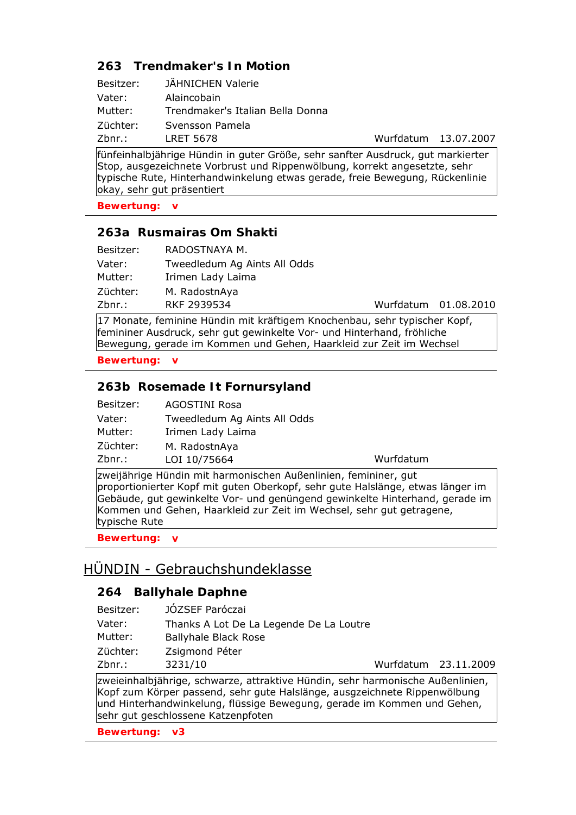# **263 Trendmaker's In Motion**

| Besitzer: | JÄHNICHEN Valerie                |
|-----------|----------------------------------|
| Vater:    | Alaincobain                      |
| Mutter:   | Trendmaker's Italian Bella Donna |
| Züchter:  | Svensson Pamela                  |
| Zbnr.:    | LRET 5678                        |

Wurfdatum 13.07.2007

fünfeinhalbjährige Hündin in guter Größe, sehr sanfter Ausdruck, gut markierter Stop, ausgezeichnete Vorbrust und Rippenwölbung, korrekt angesetzte, sehr typische Rute, Hinterhandwinkelung etwas gerade, freie Bewegung, Rückenlinie okay, sehr gut präsentiert

**Bewertung: v**

## **263a Rusmairas Om Shakti**

| Besitzer: | RADOSTNAYA M.                |                      |  |
|-----------|------------------------------|----------------------|--|
| Vater:    | Tweedledum Ag Aints All Odds |                      |  |
| Mutter:   | Irimen Lady Laima            |                      |  |
| Züchter:  | M. RadostnAya                |                      |  |
| Zbnr.:    | RKF 2939534                  | Wurfdatum 01.08.2010 |  |

17 Monate, feminine Hündin mit kräftigem Knochenbau, sehr typischer Kopf, femininer Ausdruck, sehr gut gewinkelte Vor- und Hinterhand, fröhliche Bewegung, gerade im Kommen und Gehen, Haarkleid zur Zeit im Wechsel

**Bewertung: v**

## **263b Rosemade It Fornursyland**

| Besitzer: | <b>AGOSTINI Rosa</b>         |
|-----------|------------------------------|
| Vater:    | Tweedledum Ag Aints All Odds |
| Mutter:   | Irimen Lady Laima            |
| Züchter:  | M. RadostnAya                |
| Zbnr.:    | LOI 10/75664                 |

Wurfdatum

zweijährige Hündin mit harmonischen Außenlinien, femininer, gut proportionierter Kopf mit guten Oberkopf, sehr gute Halslänge, etwas länger im Gebäude, gut gewinkelte Vor- und genüngend gewinkelte Hinterhand, gerade im Kommen und Gehen, Haarkleid zur Zeit im Wechsel, sehr gut getragene, typische Rute

**Bewertung: v**

# HÜNDIN - Gebrauchshundeklasse

## **264 Ballyhale Daphne**

| Besitzer: | JÓZSEF Paróczai                                                            |                      |  |
|-----------|----------------------------------------------------------------------------|----------------------|--|
| Vater:    | Thanks A Lot De La Legende De La Loutre                                    |                      |  |
| Mutter:   | <b>Ballyhale Black Rose</b>                                                |                      |  |
| Züchter:  | Zsigmond Péter                                                             |                      |  |
| Zbnr.:    | 3231/10                                                                    | Wurfdatum 23.11.2009 |  |
|           | zweieinhalbiährige schwarze attraktive Hündin sehr harmonische Außenlinien |                      |  |

zweieinhalbjährige, schwarze, attraktive Hündin, sehr harmonische Außenlinien, Kopf zum Körper passend, sehr gute Halslänge, ausgzeichnete Rippenwölbung und Hinterhandwinkelung, flüssige Bewegung, gerade im Kommen und Gehen, sehr gut geschlossene Katzenpfoten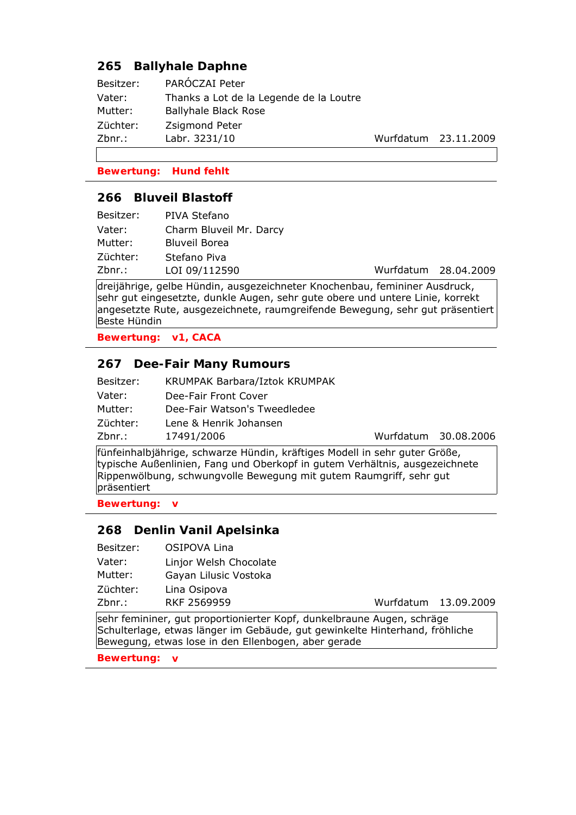## **265 Ballyhale Daphne**

| Besitzer: | PAROCZAI Peter                          |
|-----------|-----------------------------------------|
| Vater:    | Thanks a Lot de la Legende de la Loutre |
| Mutter:   | <b>Ballyhale Black Rose</b>             |
| Züchter:  | Zsigmond Peter                          |
| Zbnr.:    | Labr. 3231/10                           |

Wurfdatum 23.11.2009

#### **Bewertung: Hund fehlt**

#### **266 Bluveil Blastoff**

| Besitzer: | PIVA Stefano            |                      |
|-----------|-------------------------|----------------------|
| Vater:    | Charm Bluveil Mr. Darcy |                      |
| Mutter:   | Bluveil Borea           |                      |
| Züchter:  | Stefano Piva            |                      |
| Zbnr.:    | LOI 09/112590           | Wurfdatum 28.04.2009 |
| .         | .                       |                      |

dreijährige, gelbe Hündin, ausgezeichneter Knochenbau, femininer Ausdruck, sehr gut eingesetzte, dunkle Augen, sehr gute obere und untere Linie, korrekt angesetzte Rute, ausgezeichnete, raumgreifende Bewegung, sehr gut präsentiert Beste Hündin

**Bewertung: v1, CACA**

### **267 Dee-Fair Many Rumours**

| Besitzer: | KRUMPAK Barbara/Iztok KRUMPAK |
|-----------|-------------------------------|
| Vater:    | Dee-Fair Front Cover          |
| Mutter:   | Dee-Fair Watson's Tweedledee  |
| Züchter:  | Lene & Henrik Johansen        |
| Zbnr.:    | 17491/2006                    |

Wurfdatum 30.08.2006

fünfeinhalbjährige, schwarze Hündin, kräftiges Modell in sehr guter Größe, typische Außenlinien, Fang und Oberkopf in gutem Verhältnis, ausgezeichnete Rippenwölbung, schwungvolle Bewegung mit gutem Raumgriff, sehr gut präsentiert

**Bewertung: v**

### **268 Denlin Vanil Apelsinka**

Besitzer: OSIPOVA Lina Vater: Linjor Welsh Chocolate Mutter: Gayan Lilusic Vostoka Züchter: Lina Osipova

Zbnr.: RKF 2569959 Wurfdatum 13.09.2009

sehr femininer, gut proportionierter Kopf, dunkelbraune Augen, schräge Schulterlage, etwas länger im Gebäude, gut gewinkelte Hinterhand, fröhliche Bewegung, etwas lose in den Ellenbogen, aber gerade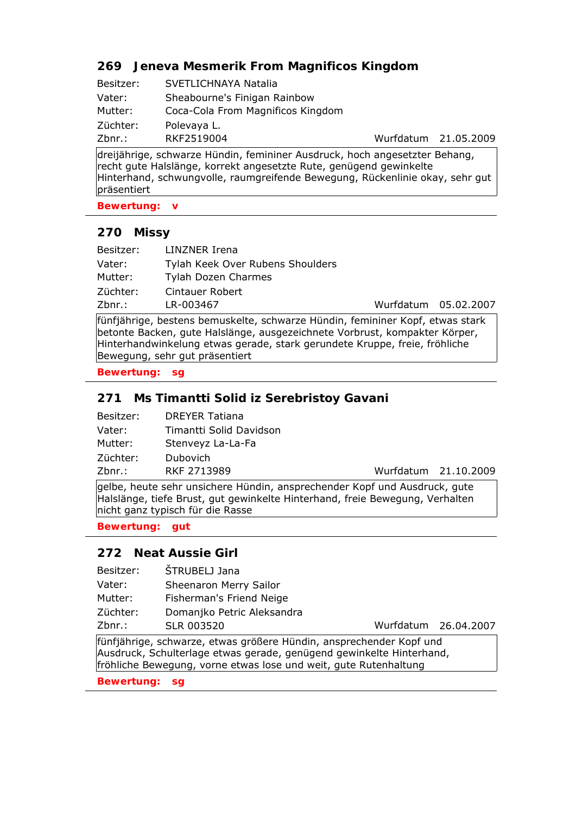## **269 Jeneva Mesmerik From Magnificos Kingdom**

| Besitzer: | SVETLICHNAYA Natalia              |
|-----------|-----------------------------------|
| Vater:    | Sheabourne's Finigan Rainbow      |
| Mutter:   | Coca-Cola From Magnificos Kingdom |
| Züchter:  | Polevaya L.                       |
| $Zbnr.$ : | RKF2519004                        |

dreijährige, schwarze Hündin, femininer Ausdruck, hoch angesetzter Behang, recht gute Halslänge, korrekt angesetzte Rute, genügend gewinkelte Hinterhand, schwungvolle, raumgreifende Bewegung, Rückenlinie okay, sehr gut präsentiert

**Bewertung: v**

## **270 Missy**

| Besitzer: | LINZNER Irena                    |                      |  |
|-----------|----------------------------------|----------------------|--|
| Vater:    | Tylah Keek Over Rubens Shoulders |                      |  |
| Mutter:   | Tylah Dozen Charmes              |                      |  |
| Züchter:  | Cintauer Robert                  |                      |  |
| Zbnr.:    | LR-003467                        | Wurfdatum 05.02.2007 |  |

fünfjährige, bestens bemuskelte, schwarze Hündin, femininer Kopf, etwas stark betonte Backen, gute Halslänge, ausgezeichnete Vorbrust, kompakter Körper, Hinterhandwinkelung etwas gerade, stark gerundete Kruppe, freie, fröhliche Bewegung, sehr gut präsentiert

**Bewertung: sg**

## **271 Ms Timantti Solid iz Serebristoy Gavani**

| <b>DREYER Tatiana</b>   |
|-------------------------|
| Timantti Solid Davidson |
| Stenveyz La-La-Fa       |
| Dubovich                |
| RKF 2713989             |
|                         |

Wurfdatum 21.10.2009

Wurfdatum 21.05.2009

gelbe, heute sehr unsichere Hündin, ansprechender Kopf und Ausdruck, gute Halslänge, tiefe Brust, gut gewinkelte Hinterhand, freie Bewegung, Verhalten nicht ganz typisch für die Rasse

**Bewertung: gut**

### **272 Neat Aussie Girl**

- Besitzer: ŠTRUBELJ Jana
- Vater: Sheenaron Merry Sailor
- Mutter: Fisherman's Friend Neige
- Züchter: Domanjko Petric Aleksandra
- Zbnr.: SLR 003520 Wurfdatum 26.04.2007

fünfjährige, schwarze, etwas größere Hündin, ansprechender Kopf und Ausdruck, Schulterlage etwas gerade, genügend gewinkelte Hinterhand, fröhliche Bewegung, vorne etwas lose und weit, gute Rutenhaltung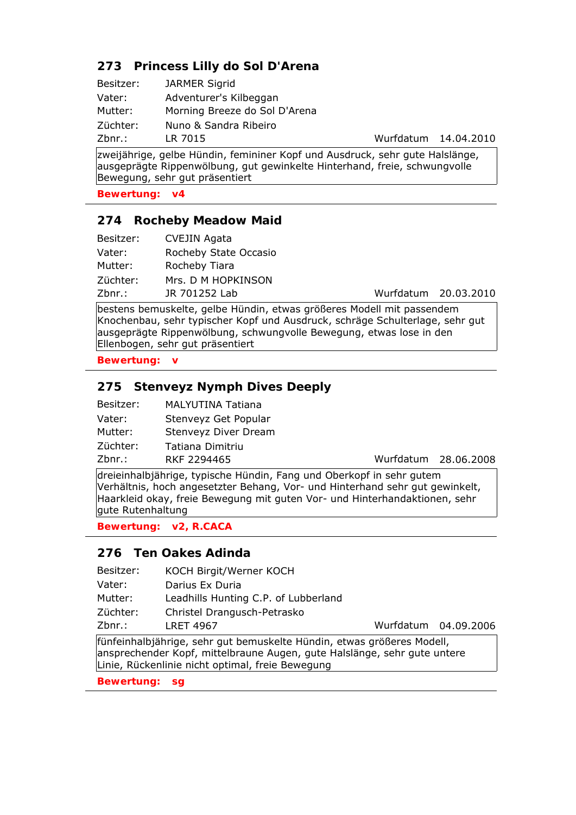# **273 Princess Lilly do Sol D'Arena**

| Besitzer: | <b>JARMER Sigrid</b>          |
|-----------|-------------------------------|
| Vater:    | Adventurer's Kilbeggan        |
| Mutter:   | Morning Breeze do Sol D'Arena |
| Züchter:  | Nuno & Sandra Ribeiro         |
| Zbnr.:    | LR 7015                       |

Wurfdatum 14.04.2010

zweijährige, gelbe Hündin, femininer Kopf und Ausdruck, sehr gute Halslänge, ausgeprägte Rippenwölbung, gut gewinkelte Hinterhand, freie, schwungvolle Bewegung, sehr gut präsentiert

**Bewertung: v4**

#### **274 Rocheby Meadow Maid**

| Besitzer: | <b>CVEJIN Agata</b>   |
|-----------|-----------------------|
| Vater:    | Rocheby State Occasio |
| Mutter:   | Rocheby Tiara         |
| Züchter:  | Mrs. D M HOPKINSON    |
| Zbnr.:    | JR 701252 Lab         |

Wurfdatum 20.03.2010

bestens bemuskelte, gelbe Hündin, etwas größeres Modell mit passendem Knochenbau, sehr typischer Kopf und Ausdruck, schräge Schulterlage, sehr gut ausgeprägte Rippenwölbung, schwungvolle Bewegung, etwas lose in den Ellenbogen, sehr gut präsentiert

**Bewertung: v**

### **275 Stenveyz Nymph Dives Deeply**

| Besitzer: | MALYUTINA Tatiana    |
|-----------|----------------------|
| Vater:    | Stenveyz Get Popular |
| Mutter:   | Stenveyz Diver Dream |
| Züchter:  | Tatiana Dimitriu     |
| 7hnr •    | <b>RKF 2294465</b>   |

Zbnr.: RKF 2294465 Wurfdatum 28.06.2008

dreieinhalbjährige, typische Hündin, Fang und Oberkopf in sehr gutem Verhältnis, hoch angesetzter Behang, Vor- und Hinterhand sehr gut gewinkelt, Haarkleid okay, freie Bewegung mit guten Vor- und Hinterhandaktionen, sehr gute Rutenhaltung

**Bewertung: v2, R.CACA**

#### **276 Ten Oakes Adinda**

| Besitzer: | KOCH Birgit/Werner KOCH              |
|-----------|--------------------------------------|
| Vater:    | Darius Ex Duria                      |
| Mutter:   | Leadhills Hunting C.P. of Lubberland |
| Züchter:  | Christel Drangusch-Petrasko          |
| Zbnr.:    | <b>LRET 4967</b>                     |

Wurfdatum 04.09.2006

fünfeinhalbjährige, sehr gut bemuskelte Hündin, etwas größeres Modell, ansprechender Kopf, mittelbraune Augen, gute Halslänge, sehr gute untere Linie, Rückenlinie nicht optimal, freie Bewegung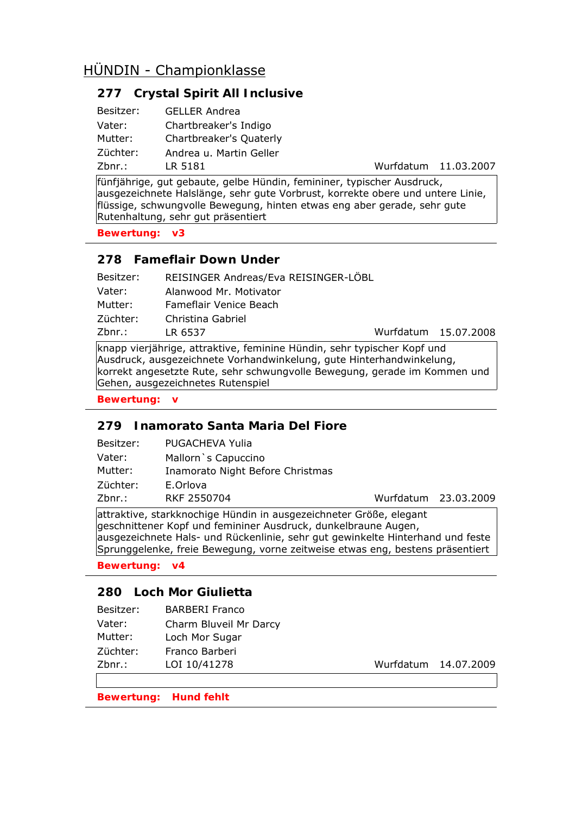# **277 Crystal Spirit All Inclusive**

| Besitzer: | <b>GELLER Andrea</b>    |
|-----------|-------------------------|
| Vater:    | Chartbreaker's Indigo   |
| Mutter:   | Chartbreaker's Quaterly |
| Züchter:  | Andrea u. Martin Geller |
| Zbnr.:    | LR 5181                 |

Wurfdatum 11.03.2007

15.07.2008

fünfjährige, gut gebaute, gelbe Hündin, femininer, typischer Ausdruck, ausgezeichnete Halslänge, sehr gute Vorbrust, korrekte obere und untere Linie, flüssige, schwungvolle Bewegung, hinten etwas eng aber gerade, sehr gute Rutenhaltung, sehr gut präsentiert

**Bewertung: v3**

### **278 Fameflair Down Under**

| Besitzer: | REISINGER Andreas/Eva REISINGER-LÖBL |           |
|-----------|--------------------------------------|-----------|
| Vater:    | Alanwood Mr. Motivator               |           |
| Mutter:   | Fameflair Venice Beach               |           |
| Züchter:  | Christina Gabriel                    |           |
| Zbnr.:    | LR 6537                              | Wurfdatum |
|           |                                      |           |

knapp vierjährige, attraktive, feminine Hündin, sehr typischer Kopf und Ausdruck, ausgezeichnete Vorhandwinkelung, gute Hinterhandwinkelung, korrekt angesetzte Rute, sehr schwungvolle Bewegung, gerade im Kommen und Gehen, ausgezeichnetes Rutenspiel

**Bewertung: v**

### **279 Inamorato Santa Maria Del Fiore**

| Besitzer: | PUGACHEVA Yulia                  |                      |  |
|-----------|----------------------------------|----------------------|--|
| Vater:    | Mallorn `s Capuccino             |                      |  |
| Mutter:   | Inamorato Night Before Christmas |                      |  |
| Züchter:  | E.Orlova                         |                      |  |
| Zbnr.:    | RKF 2550704                      | Wurfdatum 23.03.2009 |  |

attraktive, starkknochige Hündin in ausgezeichneter Größe, elegant geschnittener Kopf und femininer Ausdruck, dunkelbraune Augen, ausgezeichnete Hals- und Rückenlinie, sehr gut gewinkelte Hinterhand und feste Sprunggelenke, freie Bewegung, vorne zeitweise etwas eng, bestens präsentiert

**Bewertung: v4**

## **280 Loch Mor Giulietta**

| <b>BARBERI Franco</b>  |
|------------------------|
| Charm Bluveil Mr Darcy |
| Loch Mor Sugar         |
| Franco Barberi         |
| LOI 10/41278           |
|                        |

Wurfdatum 14.07.2009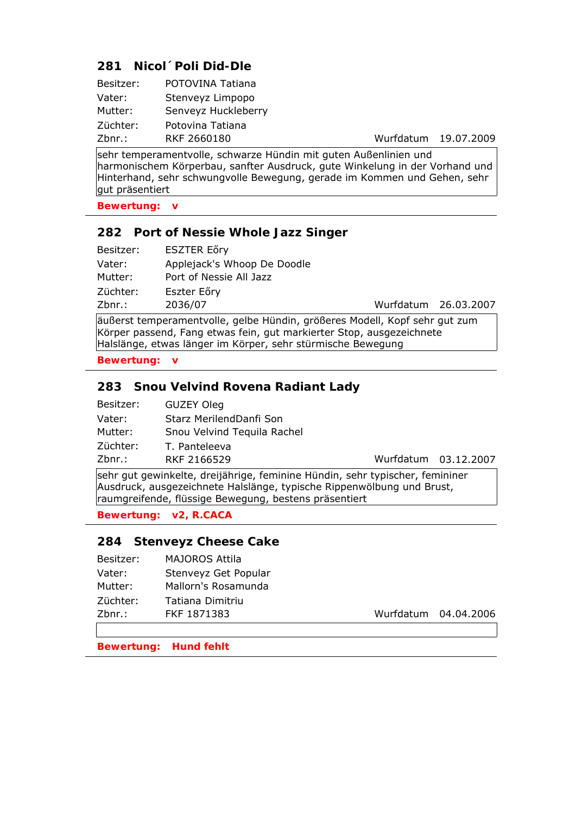## **281 Nicol´Poli Did-Dle**

| Besitzer: | POTOVINA Tatiana    |
|-----------|---------------------|
| Vater:    | Stenveyz Limpopo    |
| Mutter:   | Senveyz Huckleberry |
| Züchter:  | Potovina Tatiana    |
| Zbnr.:    | RKF 2660180         |

Wurfdatum 19.07.2009

sehr temperamentvolle, schwarze Hündin mit guten Außenlinien und harmonischem Körperbau, sanfter Ausdruck, gute Winkelung in der Vorhand und Hinterhand, sehr schwungvolle Bewegung, gerade im Kommen und Gehen, sehr gut präsentiert

**Bewertung: v**

### **282 Port of Nessie Whole Jazz Singer**

| Zbnr.:    | 2036/07                     | Wurfdatum 26.03.2007 |  |
|-----------|-----------------------------|----------------------|--|
| Züchter:  | Eszter Eőry                 |                      |  |
| Mutter:   | Port of Nessie All Jazz     |                      |  |
| Vater:    | Applejack's Whoop De Doodle |                      |  |
| Besitzer: | ESZTER Eőry                 |                      |  |

äußerst temperamentvolle, gelbe Hündin, größeres Modell, Kopf sehr gut zum Körper passend, Fang etwas fein, gut markierter Stop, ausgezeichnete Halslänge, etwas länger im Körper, sehr stürmische Bewegung

**Bewertung: v**

### **283 Snou Velvind Rovena Radiant Lady**

| Besitzer: | GUZEY Oleg                  |
|-----------|-----------------------------|
| Vater:    | Starz MerilendDanfi Son     |
| Mutter:   | Snou Velvind Tequila Rachel |
| Züchter:  | T. Panteleeva               |
| 7hnr •    | <b>RKF 2166529</b>          |

Zbnr.: RKF 2166529 Wurfdatum 03.12.2007

sehr gut gewinkelte, dreijährige, feminine Hündin, sehr typischer, femininer Ausdruck, ausgezeichnete Halslänge, typische Rippenwölbung und Brust, raumgreifende, flüssige Bewegung, bestens präsentiert

**Bewertung: v2, R.CACA**

#### **284 Stenveyz Cheese Cake**

| Besitzer: | <b>MAJOROS Attila</b> |
|-----------|-----------------------|
| Vater:    | Stenveyz Get Popular  |
| Mutter:   | Mallorn's Rosamunda   |
| Züchter:  | Tatiana Dimitriu      |
| Zbnr.:    | FKF 1871383           |

Wurfdatum 04.04.2006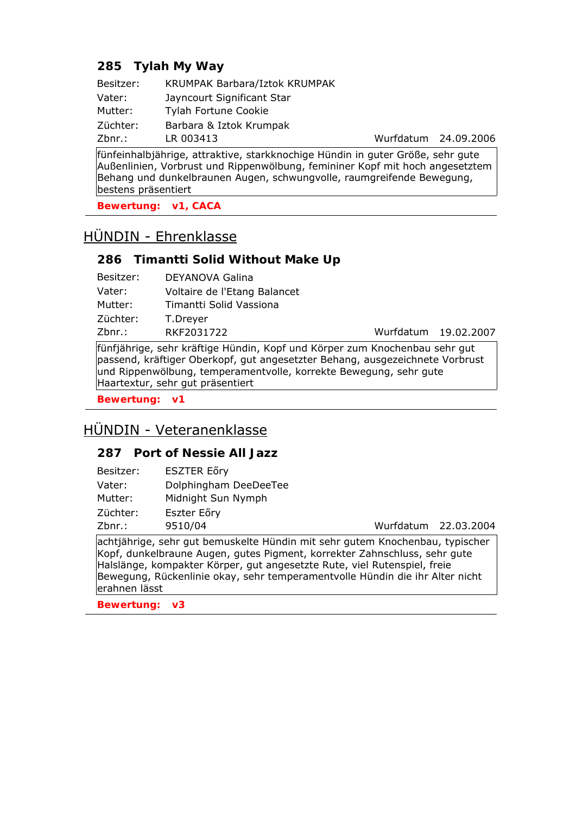## **285 Tylah My Way**

| Besitzer: | KRUMPAK Barbara/Iztok KRUMPAK |
|-----------|-------------------------------|
| Vater:    | Jayncourt Significant Star    |
| Mutter:   | Tylah Fortune Cookie          |
| Züchter:  | Barbara & Iztok Krumpak       |
| Zbnr.:    | LR 003413                     |

Wurfdatum 24.09.2006

fünfeinhalbjährige, attraktive, starkknochige Hündin in guter Größe, sehr gute Außenlinien, Vorbrust und Rippenwölbung, femininer Kopf mit hoch angesetztem Behang und dunkelbraunen Augen, schwungvolle, raumgreifende Bewegung, bestens präsentiert

**Bewertung: v1, CACA**

# HÜNDIN - Ehrenklasse

### **286 Timantti Solid Without Make Up**

| Besitzer: | DEYANOVA Galina              |
|-----------|------------------------------|
| Vater:    | Voltaire de l'Etang Balancet |
| Mutter:   | Timantti Solid Vassiona      |
| Züchter:  | T.Dreyer                     |
| Zbnr.:    | RKF2031722                   |

Wurfdatum 19.02.2007

fünfjährige, sehr kräftige Hündin, Kopf und Körper zum Knochenbau sehr gut passend, kräftiger Oberkopf, gut angesetzter Behang, ausgezeichnete Vorbrust und Rippenwölbung, temperamentvolle, korrekte Bewegung, sehr gute Haartextur, sehr gut präsentiert

**Bewertung: v1**

# HÜNDIN - Veteranenklasse

### **287 Port of Nessie All Jazz**

| Besitzer: | <b>ESZTER Eőry</b>    |
|-----------|-----------------------|
| Vater:    | Dolphingham DeeDeeTee |
| Mutter:   | Midnight Sun Nymph    |
| Züchter:  | Eszter Eőry           |
| Zbnr.:    | 9510/04               |

Wurfdatum 22.03.2004

achtjährige, sehr gut bemuskelte Hündin mit sehr gutem Knochenbau, typischer Kopf, dunkelbraune Augen, gutes Pigment, korrekter Zahnschluss, sehr gute Halslänge, kompakter Körper, gut angesetzte Rute, viel Rutenspiel, freie Bewegung, Rückenlinie okay, sehr temperamentvolle Hündin die ihr Alter nicht erahnen lässt